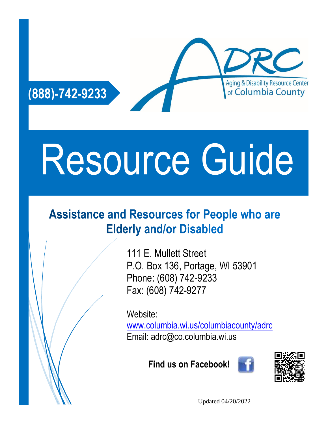

# **(888)-742-9233**

# Resource Guide

# **Assistance and Resources for People who are Elderly and/or Disabled**

111 E. Mullett Street P.O. Box 136, Portage, WI 53901 Phone: (608) 742-9233 Fax: (608) 742-9277

Website: [www.columbia.wi.us/columbiacounty/adrc](http://www.columbia.wi.us/columbiacounty/adrc) Email: adrc@co.columbia.wi.us

**Find us on Facebook!** 



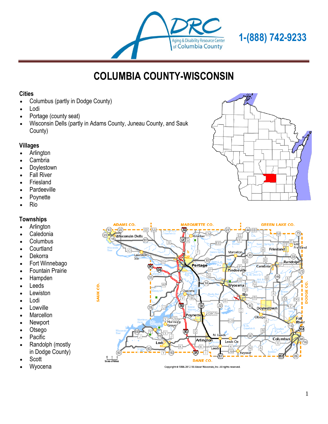

### **COLUMBIA COUNTY-WISCONSIN**

### **Cities**

- [Columbus](https://en.wikipedia.org/wiki/Columbus,_Wisconsin) (partly in [Dodge County\)](https://en.wikipedia.org/wiki/Dodge_County,_Wisconsin)
- [Lodi](https://en.wikipedia.org/wiki/Lodi,_Wisconsin)
- [Portage](https://en.wikipedia.org/wiki/Portage,_Wisconsin) (county seat)
- [Wisconsin Dells](https://en.wikipedia.org/wiki/Wisconsin_Dells,_Wisconsin) (partly in [Adams County,](https://en.wikipedia.org/wiki/Adams_County,_Wisconsin) [Juneau County,](https://en.wikipedia.org/wiki/Juneau_County,_Wisconsin) and [Sauk](https://en.wikipedia.org/wiki/Sauk_County,_Wisconsin)  [County\)](https://en.wikipedia.org/wiki/Sauk_County,_Wisconsin)

**SAUK CO.** 

### **Villages**

- [Arlington](https://en.wikipedia.org/wiki/Arlington,_Wisconsin)
- **[Cambria](https://en.wikipedia.org/wiki/Cambria,_Wisconsin)**
- [Doylestown](https://en.wikipedia.org/wiki/Doylestown,_Wisconsin)
- **[Fall River](https://en.wikipedia.org/wiki/Fall_River,_Wisconsin)**
- **[Friesland](https://en.wikipedia.org/wiki/Friesland,_Wisconsin)**
- **[Pardeeville](https://en.wikipedia.org/wiki/Pardeeville,_Wisconsin)**
- **[Poynette](https://en.wikipedia.org/wiki/Poynette,_Wisconsin)**
- [Rio](https://en.wikipedia.org/wiki/Rio,_Wisconsin)

### **Townships**

- **[Arlington](https://en.wikipedia.org/wiki/Arlington_(town),_Wisconsin)**
- [Caledonia](https://en.wikipedia.org/wiki/Caledonia,_Columbia_County,_Wisconsin)
- [Columbus](https://en.wikipedia.org/wiki/Columbus_(town),_Wisconsin)
- **[Courtland](https://en.wikipedia.org/wiki/Courtland,_Wisconsin)**
- **[Dekorra](https://en.wikipedia.org/wiki/Dekorra,_Wisconsin)**
- [Fort Winnebago](https://en.wikipedia.org/wiki/Fort_Winnebago,_Wisconsin)
- [Fountain Prairie](https://en.wikipedia.org/wiki/Fountain_Prairie,_Wisconsin)
- [Hampden](https://en.wikipedia.org/wiki/Hampden,_Wisconsin)
- **[Leeds](https://en.wikipedia.org/wiki/Leeds,_Wisconsin)**
- **[Lewiston](https://en.wikipedia.org/wiki/Lewiston,_Wisconsin)**
- [Lodi](https://en.wikipedia.org/wiki/Lodi_(town),_Wisconsin)
- **[Lowville](https://en.wikipedia.org/wiki/Lowville,_Wisconsin)**
- **[Marcellon](https://en.wikipedia.org/wiki/Marcellon,_Wisconsin)**
- [Newport](https://en.wikipedia.org/wiki/Newport,_Wisconsin)
- [Otsego](https://en.wikipedia.org/wiki/Otsego,_Wisconsin)
- [Pacific](https://en.wikipedia.org/wiki/Pacific,_Wisconsin)
- [Randolph](https://en.wikipedia.org/wiki/Randolph,_Wisconsin) (mostly in [Dodge County\)](https://en.wikipedia.org/wiki/Dodge_County,_Wisconsin)
- **[Scott](https://en.wikipedia.org/wiki/Scott,_Columbia_County,_Wisconsin)**
- **Wyocena**



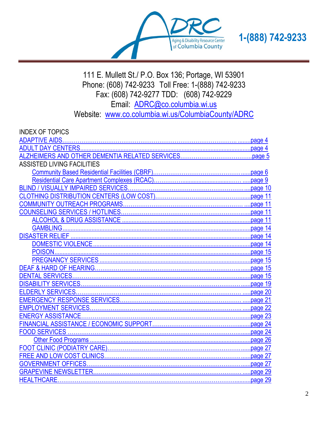Aging & Disability Resource Center<br>of Columbia County



### 111 E. Mullett St./ P.O. Box 136; Portage, WI 53901 Phone: (608) 742-9233 Toll Free: 1-(888) 742-9233 Fax: (608) 742-9277 TDD: (608) 742-9229 Email: [ADRC@co.columbia.wi.us](mailto:ADRC@co.columbia.wi.us)

Website: [www.co.columbia.wi.us/ColumbiaCounty/ADRC](http://www.co.columbia.wi.us/ColumbiaCounty/ADRC)

| <b>INDEX OF TOPICS</b>            |         |
|-----------------------------------|---------|
|                                   |         |
|                                   | .page 4 |
|                                   |         |
| <b>ASSISTED LIVING FACILITIES</b> |         |
|                                   |         |
|                                   |         |
|                                   |         |
|                                   |         |
|                                   | 11      |
|                                   |         |
|                                   |         |
|                                   | 14      |
|                                   | -14     |
|                                   | 14      |
| <b>POISON</b>                     | 15      |
|                                   |         |
|                                   |         |
|                                   |         |
|                                   |         |
|                                   |         |
|                                   |         |
|                                   | 22      |
|                                   |         |
|                                   |         |
| <b>FOOD SERVICES</b>              | 24      |
|                                   |         |
|                                   |         |
|                                   | 27      |
|                                   |         |
|                                   |         |
|                                   |         |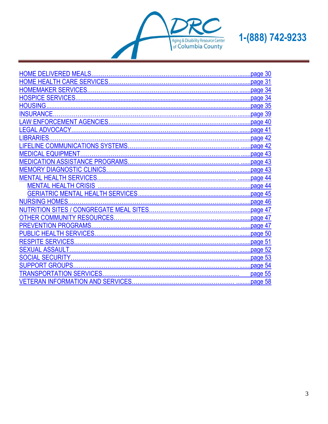

|                                                              | page 30.       |
|--------------------------------------------------------------|----------------|
| HOME HEALTH                                                  |                |
|                                                              | page 34        |
|                                                              |                |
|                                                              | page 35        |
| <b>INSURANCE</b>                                             |                |
|                                                              |                |
| <u>LEGAL ADVOCACY………………………………………………………………………………….page 41</u> |                |
| LIBRARIES.                                                   | page 42        |
|                                                              |                |
| MEDICAL FOUIPMENT                                            |                |
|                                                              |                |
|                                                              | page 43        |
|                                                              |                |
|                                                              |                |
|                                                              |                |
| <b>NURSING HOMES</b>                                         |                |
|                                                              |                |
|                                                              |                |
|                                                              |                |
|                                                              |                |
|                                                              |                |
|                                                              |                |
|                                                              |                |
|                                                              |                |
| <b>TRANSPORTATI</b>                                          | page 55        |
|                                                              | <u>page 58</u> |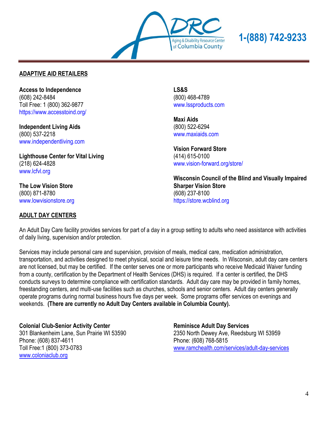

### <span id="page-4-0"></span>**[ADAPTIVE AID RETAILERS](#page-4-0)**

**Access to Independence** (608) 242-8484 Toll Free: 1 (800) 362-9877 <https://www.accesstoind.org/>

**Independent Living Aids** (800) 537-2218 [www.independentliving.com](http://www.independentliving.com/)

**Lighthouse Center for Vital Living** (218) 624-4828 [www.lcfvl.org](http://www.lcfvl.org/)

**The Low Vision Store** (800) 871-8780 [www.lowvisionstore.org](http://www.lowvisionstore.org/)

### <span id="page-4-1"></span>**ADULT DAY CENTERS**

**LS&S** (800) 468-4789 [www.lssproducts.com](http://www.lssproducts.com/)

**Maxi Aids** (800) 522-6294 [www.maxiaids.com](http://www.maxiaids.com/)

**Vision Forward Store** (414) 615-0100 [www.vision-forward.org/store/](http://www.vision-forward.org/store/)

**Wisconsin Council of the Blind and Visually Impaired Sharper Vision Store** (608) 237-8100 [https://store.wcblind.org](https://store.wcblind.org/)

An Adult Day Care facility provides services for part of a day in a group setting to adults who need assistance with activities of daily living, supervision and/or protection.

Services may include personal care and supervision, provision of meals, medical care, medication administration, transportation, and activities designed to meet physical, social and leisure time needs. In Wisconsin, adult day care centers are not licensed, but may be certified. If the center serves one or more participants who receive Medicaid Waiver funding from a county, certification by the Department of Health Services (DHS) is required. If a center is certified, the DHS conducts surveys to determine compliance with certification standards. Adult day care may be provided in family homes, freestanding centers, and multi-use facilities such as churches, schools and senior centers. Adult day centers generally operate programs during normal business hours five days per week. Some programs offer services on evenings and weekends. **(There are currently no Adult Day Centers available in Columbia County).**

#### **Colonial Club-Senior Activity Center**

301 Blankenheim Lane, Sun Prairie WI 53590 Phone: (608) 837-4611 Toll Free:1 (800) 373-0783 [www.coloniaclub.org](http://www.coloniaclub.org/)

<span id="page-4-2"></span>**Reminisce Adult Day Services** 2350 North Dewey Ave, Reedsburg WI 53959 Phone: (608) 768-5815 [www.ramchealth.com/services/adult-day-services](http://www.ramchealth.com/services/adult-day-services)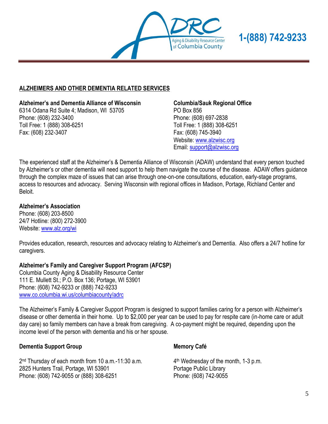**Aging & Disability Resource Center** of Columbia County

### **1-(888) 742-9233**

### **ALZHEIMERS AND OTHER DEMENTIA RELATED SERVICES**

**Alzheimer's and Dementia Alliance of Wisconsin**

6314 Odana Rd Suite 4; Madison, WI 53705 Phone: (608) 232-3400 Toll Free: 1 (888) 308-6251 Fax: (608) 232-3407

**Columbia/Sauk Regional Office** PO Box 856 Phone: (608) 697-2838 Toll Free: 1 (888) 308-6251 Fax: (608) 745-3940 Website: [www.alzwisc.org](http://www.alzwisc.org/)

Email: [support@alzwisc.org](mailto:support@alzwisc.org)

The experienced staff at the Alzheimer's & Dementia Alliance of Wisconsin (ADAW) understand that every person touched by Alzheimer's or other dementia will need support to help them navigate the course of the disease. ADAW offers guidance through the complex maze of issues that can arise through one-on-one consultations, education, early-stage programs, access to resources and advocacy. Serving Wisconsin with regional offices in Madison, Portage, Richland Center and Beloit.

### **Alzheimer's Association**

Phone: (608) 203-8500 24/7 Hotline: (800) 272-3900 Website: [www.alz.org/wi](http://www.alz.org/wi)

Provides education, research, resources and advocacy relating to Alzheimer's and Dementia. Also offers a 24/7 hotline for caregivers.

### **Alzheimer's Family and Caregiver Support Program (AFCSP)**

Columbia County Aging & Disability Resource Center 111 E. Mullett St.; P.O. Box 136; Portage, WI 53901 Phone: (608) 742-9233 or (888) 742-9233 [www.co.columbia.wi.us/columbiacounty/adrc](http://www.co.columbia.wi.us/columbiacounty/adrc)

The Alzheimer's Family & Caregiver Support Program is designed to support families caring for a person with Alzheimer's disease or other dementia in their home. Up to \$2,000 per year can be used to pay for respite care (in-home care or adult day care) so family members can have a break from caregiving. A co-payment might be required, depending upon the income level of the person with dementia and his or her spouse.

### **Dementia Support Group**

2<sup>nd</sup> Thursday of each month from 10 a.m.-11:30 a.m. 2825 Hunters Trail, Portage, WI 53901 Phone: (608) 742-9055 or (888) 308-6251

### **Memory Café**

4 th Wednesday of the month, 1-3 p.m. Portage Public Library Phone: (608) 742-9055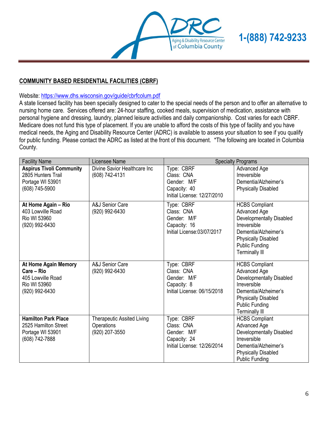

### <span id="page-6-0"></span>**COMMUNITY BASED RESIDENTIAL FACILITIES (CBRF)**

Website:<https://www.dhs.wisconsin.gov/guide/cbrfcolum.pdf>

A state licensed facility has been specially designed to cater to the special needs of the person and to offer an alternative to nursing home care. Services offered are: 24-hour staffing, cooked meals, supervision of medication, assistance with personal hygiene and dressing, laundry, planned leisure activities and daily companionship. Cost varies for each CBRF. Medicare does not fund this type of placement. If you are unable to afford the costs of this type of facility and you have medical needs, the Aging and Disability Resource Center (ADRC) is available to assess your situation to see if you qualify for public funding. Please contact the ADRC as listed at the front of this document. \*The following are located in Columbia County.

| <b>Facility Name</b>                                                                             | Licensee Name                                                     |                                                                                        | <b>Specialty Programs</b>                                                                                                                                                                 |
|--------------------------------------------------------------------------------------------------|-------------------------------------------------------------------|----------------------------------------------------------------------------------------|-------------------------------------------------------------------------------------------------------------------------------------------------------------------------------------------|
| <b>Aspirus Tivoli Community</b><br>2805 Hunters Trail<br>Portage WI 53901<br>(608) 745-5900      | Divine Savior Healthcare Inc<br>(608) 742-4131                    | Type: CBRF<br>Class: CNA<br>Gender: M/F<br>Capacity: 40<br>Initial License: 12/27/2010 | Advanced Age<br>Irreversible<br>Dementia/Alzheimer's<br><b>Physically Disabled</b>                                                                                                        |
| At Home Again - Rio<br>403 Lowville Road<br>Rio WI 53960<br>(920) 992-6430                       | A&J Senior Care<br>(920) 992-6430                                 | Type: CBRF<br>Class: CNA<br>Gender: M/F<br>Capacity: 16<br>Initial License: 03/07/2017 | <b>HCBS Compliant</b><br>Advanced Age<br>Developmentally Disabled<br>Irreversible<br>Dementia/Alzheimer's<br><b>Physically Disabled</b><br><b>Public Funding</b><br><b>Terminally III</b> |
| <b>At Home Again Memory</b><br>Care – Rio<br>405 Lowville Road<br>Rio WI 53960<br>(920) 992-6430 | A&J Senior Care<br>(920) 992-6430                                 | Type: CBRF<br>Class: CNA<br>Gender: M/F<br>Capacity: 8<br>Initial License: 06/15/2018  | <b>HCBS Compliant</b><br>Advanced Age<br>Developmentally Disabled<br>Irreversible<br>Dementia/Alzheimer's<br><b>Physically Disabled</b><br><b>Public Funding</b><br><b>Terminally III</b> |
| <b>Hamilton Park Place</b><br>2525 Hamilton Street<br>Portage WI 53901<br>(608) 742-7888         | <b>Therapeutic Assited Living</b><br>Operations<br>(920) 207-3550 | Type: CBRF<br>Class: CNA<br>Gender: M/F<br>Capacity: 24<br>Initial License: 12/26/2014 | <b>HCBS Compliant</b><br>Advanced Age<br>Developmentally Disabled<br>Irreversible<br>Dementia/Alzheimer's<br><b>Physically Disabled</b><br><b>Public Funding</b>                          |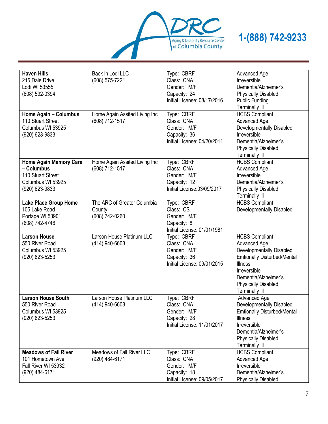

| <b>Haven Hills</b><br>215 Dale Drive<br>Lodi WI 53555<br>(608) 592-0394<br>Home Again - Columbus<br>110 Stuart Street<br>Columbus WI 53925<br>(920) 623-9833 | Back In Lodi LLC<br>(608) 575-7221<br>Home Again Assited Living Inc<br>(608) 712-1517 | Type: CBRF<br>Class: CNA<br>Gender: M/F<br>Capacity: 24<br>Initial License: 08/17/2016<br>Type: CBRF<br>Class: CNA<br>Gender: M/F<br>Capacity: 36<br>Initial License: 04/20/2011 | Advanced Age<br>Irreversible<br>Dementia/Alzheimer's<br><b>Physically Disabled</b><br><b>Public Funding</b><br><b>Terminally III</b><br><b>HCBS Compliant</b><br><b>Advanced Age</b><br>Developmentally Disabled<br>Irreversible<br>Dementia/Alzheimer's |
|--------------------------------------------------------------------------------------------------------------------------------------------------------------|---------------------------------------------------------------------------------------|----------------------------------------------------------------------------------------------------------------------------------------------------------------------------------|----------------------------------------------------------------------------------------------------------------------------------------------------------------------------------------------------------------------------------------------------------|
| <b>Home Again Memory Care</b><br>- Columbus<br>110 Stuart Street<br>Columbus WI 53925<br>(920) 623-9833                                                      | Home Again Assited Living Inc<br>(608) 712-1517                                       | Type: CBRF<br>Class: CNA<br>Gender: M/F<br>Capacity: 12<br>Initial License: 03/09/2017                                                                                           | <b>Physically Disabled</b><br><b>Terminally III</b><br><b>HCBS Compliant</b><br>Advanced Age<br>Irreversible<br>Dementia/Alzheimer's<br><b>Physically Disabled</b><br><b>Terminally III</b>                                                              |
| <b>Lake Place Group Home</b><br>105 Lake Road<br>Portage WI 53901<br>(608) 742-4746                                                                          | The ARC of Greater Columbia<br>County<br>(608) 742-0260                               | Type: CBRF<br>Class: CS<br>Gender: M/F<br>Capacity: 8<br>Initial License: 01/01/1981                                                                                             | <b>HCBS</b> Compliant<br>Developmentally Disabled                                                                                                                                                                                                        |
| <b>Larson House</b><br>550 River Road<br>Columbus WI 53925<br>(920) 623-5253                                                                                 | Larson House Platinum LLC<br>(414) 940-6608                                           | Type: CBRF<br>Class: CNA<br>Gender: M/F<br>Capacity: 36<br>Initial License: 09/01/2015                                                                                           | <b>HCBS Compliant</b><br>Advanced Age<br>Developmentally Disabled<br><b>Emtionally Disturbed/Mental</b><br><b>Illness</b><br>Irreversible<br>Dementia/Alzheimer's<br><b>Physically Disabled</b><br><b>Terminally III</b>                                 |
| <b>Larson House South</b><br>550 River Road<br>Columbus WI 53925<br>(920) 623-5253                                                                           | Larson House Platinum LLC<br>(414) 940-6608                                           | Type: CBRF<br>Class: CNA<br>Gender: M/F<br>Capacity: 28<br>Initial License: 11/01/2017                                                                                           | Advanced Age<br>Developmentally Disabled<br><b>Emtionally Disturbed/Mental</b><br><b>Illness</b><br>Irreversible<br>Dementia/Alzheimer's<br><b>Physically Disabled</b><br><b>Terminally III</b>                                                          |
| <b>Meadows of Fall River</b><br>101 Hometown Ave<br>Fall River WI 53932<br>(920) 484-6171                                                                    | Meadows of Fall River LLC<br>(920) 484-6171                                           | Type: CBRF<br>Class: CNA<br>Gender: M/F<br>Capacity: 18<br>Initial License: 09/05/2017                                                                                           | <b>HCBS Compliant</b><br>Advanced Age<br>Irreversible<br>Dementia/Alzheimer's<br><b>Physically Disabled</b>                                                                                                                                              |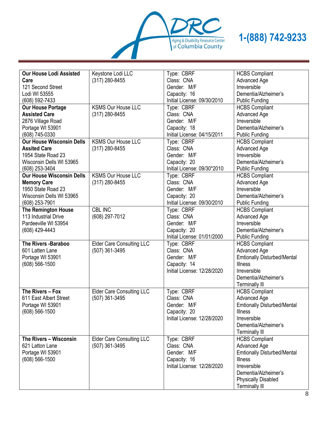

| <b>Our House Lodi Assisted</b>   | Keystone Lodi LLC                | Type: CBRF                  | <b>HCBS Compliant</b>              |
|----------------------------------|----------------------------------|-----------------------------|------------------------------------|
| Care                             | (317) 280-8455                   | Class: CNA                  | Advanced Age                       |
| 121 Second Street                |                                  | Gender: M/F                 | Irreversible                       |
| Lodi WI 53555                    |                                  | Capacity: 16                | Dementia/Alzheimer's               |
| (608) 592-7433                   |                                  | Initial License: 09/30/2010 | <b>Public Funding</b>              |
| <b>Our House Portage</b>         | <b>KSMS Our House LLC</b>        | Type: CBRF                  | <b>HCBS Compliant</b>              |
| <b>Assisted Care</b>             | (317) 280-8455                   | Class: CNA                  | <b>Advanced Age</b>                |
| 2876 Village Road                |                                  | Gender: M/F                 | Irreversible                       |
| Portage WI 53901                 |                                  | Capacity: 18                | Dementia/Alzheimer's               |
| (608) 745-0330                   |                                  | Initial License: 04/15/2011 | <b>Public Funding</b>              |
| <b>Our House Wisconsin Dells</b> | <b>KSMS Our House LLC</b>        | Type: CBRF                  | <b>HCBS Compliant</b>              |
| <b>Assited Care</b>              | (317) 280-8455                   | Class: CNA                  | Advanced Age                       |
| 1954 State Road 23               |                                  | Gender: M/F                 | Irreversible                       |
| Wisconsin Dells WI 53965         |                                  | Capacity: 20                | Dementia/Alzheimer's               |
| (608) 253-3404                   |                                  | Initial License: 09/30*2010 | <b>Public Funding</b>              |
| <b>Our House Wisconsin Dells</b> | <b>KSMS Our House LLC</b>        | Type: CBRF                  | <b>HCBS Compliant</b>              |
|                                  | (317) 280-8455                   | Class: CNA                  | <b>Advanced Age</b>                |
| <b>Memory Care</b>               |                                  |                             | Irreversible                       |
| 1950 State Road 23               |                                  | Gender: M/F                 |                                    |
| Wisconsin Dells WI 53965         |                                  | Capacity: 20                | Dementia/Alzheimer's               |
| (608) 253-7901                   |                                  | Initial License: 09/30/2010 | <b>Public Funding</b>              |
| <b>The Remington House</b>       | CBL INC                          | Type: CBRF                  | <b>HCBS Compliant</b>              |
| 113 Industrial Drive             | (608) 297-7012                   | Class: CNA                  | <b>Advanced Age</b>                |
| Pardeeville WI 53954             |                                  | Gender: M/F                 | Irreversible                       |
| (608) 429-4443                   |                                  | Capacity: 20                | Dementia/Alzheimer's               |
|                                  |                                  | Initial License: 01/01/2000 | <b>Public Funding</b>              |
| The Rivers - Baraboo             | <b>Elder Care Consulting LLC</b> | Type: CBRF                  | <b>HCBS Compliant</b>              |
| 601 Latten Lane                  | (507) 361-3495                   | Class: CNA                  | <b>Advanced Age</b>                |
| Portage WI 53901                 |                                  | Gender: M/F                 | <b>Emtionally Disturbed/Mental</b> |
| (608) 566-1500                   |                                  | Capacity: 14                | <b>Illness</b>                     |
|                                  |                                  | Initial License: 12/28/2020 | Irreversible                       |
|                                  |                                  |                             | Dementia/Alzheimer's               |
|                                  |                                  |                             | <b>Terminally III</b>              |
| The Rivers - Fox                 | <b>Elder Care Consulting LLC</b> | Type: CBRF                  | <b>HCBS Compliant</b>              |
| 611 East Albert Street           | (507) 361-3495                   | Class: CNA                  | <b>Advanced Age</b>                |
| Portage WI 53901                 |                                  | Gender: M/F                 | <b>Emtionally Disturbed/Mental</b> |
| $(608) 566 - 1500$               |                                  | Capacity: 20                | <b>Illness</b>                     |
|                                  |                                  | Initial License: 12/28/2020 | Irreversible                       |
|                                  |                                  |                             | Dementia/Alzheimer's               |
|                                  |                                  |                             | <b>Terminally III</b>              |
| The Rivers - Wisconsin           | <b>Elder Care Consulting LLC</b> | Type: CBRF                  | <b>HCBS Compliant</b>              |
| 621 Latton Lane                  | (507) 361-3495                   | Class: CNA                  | Advanced Age                       |
| Portage WI 53901                 |                                  | Gender: M/F                 | <b>Emtionally Disturbed/Mental</b> |
|                                  |                                  |                             |                                    |
| $(608) 566 - 1500$               |                                  | Capacity: 16                | <b>Illness</b>                     |
|                                  |                                  | Initial License: 12/28/2020 | Irreversible                       |
|                                  |                                  |                             | Dementia/Alzheimer's               |
|                                  |                                  |                             | <b>Physically Disabled</b>         |
|                                  |                                  |                             | <b>Terminally III</b>              |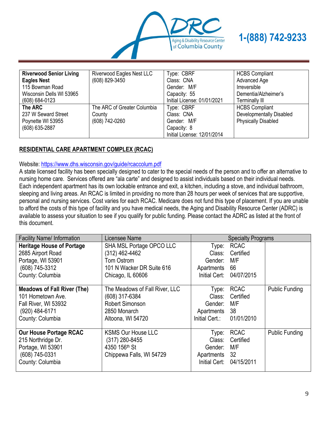



| <b>Riverwood Senior Living</b> | Riverwood Eagles Nest LLC   | Type: CBRF                  | <b>HCBS Compliant</b>      |
|--------------------------------|-----------------------------|-----------------------------|----------------------------|
| <b>Eagles Nest</b>             | (608) 829-3450              | Class: CNA                  | Advanced Age               |
| 115 Bowman Road                |                             | Gender: M/F                 | Irreversible               |
| Wisconsin Dells WI 53965       |                             | Capacity: 55                | Dementia/Alzheimer's       |
| (608) 684-0123                 |                             | Initial License: 01/01/2021 | Terminally III             |
| The ARC                        | The ARC of Greater Columbia | Type: CBRF                  | <b>HCBS Compliant</b>      |
| 237 W Seward Street            | County                      | Class: CNA                  | Developmentally Disabled   |
| Poynette WI 53955              | (608) 742-0260              | Gender: M/F                 | <b>Physically Disabled</b> |
| (608) 635-2887                 |                             | Capacity: 8                 |                            |
|                                |                             | Initial License: 12/01/2014 |                            |

### <span id="page-9-0"></span>**RESIDENTIAL CARE APARTMENT COMPLEX (RCAC)**

Website:<https://www.dhs.wisconsin.gov/guide/rcaccolum.pdf>

A state licensed facility has been specially designed to cater to the special needs of the person and to offer an alternative to nursing home care. Services offered are "ala carte" and designed to assist individuals based on their individual needs. Each independent apartment has its own lockable entrance and exit, a kitchen, including a stove, and individual bathroom, sleeping and living areas. An RCAC is limited in providing no more than 28 hours per week of services that are supportive, personal and nursing services. Cost varies for each RCAC. Medicare does not fund this type of placement. If you are unable to afford the costs of this type of facility and you have medical needs, the Aging and Disability Resource Center (ADRC) is available to assess your situation to see if you qualify for public funding. Please contact the ADRC as listed at the front of this document.

<span id="page-9-1"></span>

| <b>Facility Name/Information</b>   | Licensee Name                  | <b>Specialty Programs</b> |             |                       |
|------------------------------------|--------------------------------|---------------------------|-------------|-----------------------|
| <b>Heritage House of Portage</b>   | SHA MSL Portage OPCO LLC       | Type:                     | <b>RCAC</b> |                       |
| 2685 Airport Road                  | (312) 462-4462                 | Class:                    | Certified   |                       |
| Portage, WI 53901                  | Tom Ostrom                     | Gender:                   | M/F         |                       |
| (608) 745-3312                     | 101 N Wacker DR Suite 616      | Apartments                | 66          |                       |
| County: Columbia                   | Chicago, IL 60606              | Initial Cert:             | 04/07/2015  |                       |
|                                    |                                |                           |             |                       |
| <b>Meadows of Fall River (The)</b> | The Meadows of Fall River, LLC | Type:                     | <b>RCAC</b> | <b>Public Funding</b> |
| 101 Hometown Ave.                  | (608) 317-6384                 | Class:                    | Certified   |                       |
| Fall River, WI 53932               | <b>Robert Simonson</b>         | Gender:                   | M/F         |                       |
| (920) 484-6171                     | 2850 Monarch                   | Apartments                | -38         |                       |
| County: Columbia                   | Altoona, WI 54720              | Initial Cert.:            | 01/01/2010  |                       |
|                                    |                                |                           |             |                       |
| <b>Our House Portage RCAC</b>      | <b>KSMS Our House LLC</b>      | Type:                     | <b>RCAC</b> | <b>Public Funding</b> |
| 215 Northridge Dr.                 | (317) 280-8455                 | Class:                    | Certified   |                       |
| Portage, WI 53901                  | 4350 156th St                  | Gender:                   | M/F         |                       |
| (608) 745-0331                     | Chippewa Falls, WI 54729       | Apartments 32             |             |                       |
| County: Columbia                   |                                | Initial Cert:             | 04/15/2011  |                       |
|                                    |                                |                           |             |                       |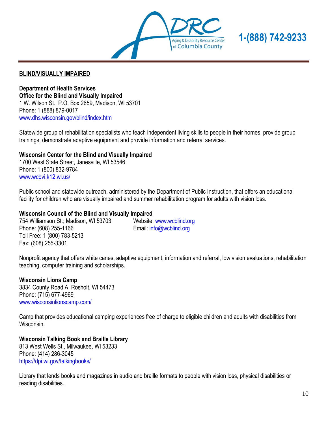

### **BLIND/VISUALLY IMPAIRED**

**Department of Health Services Office for the Blind and Visually Impaired** 1 W. Wilson St., P.O. Box 2659, Madison, WI 53701 Phone: 1 (888) 879-0017 [www.dhs.wisconsin.gov/blind/index.htm](http://www.dhs.wisconsin.gov/blind/index.htm)

Statewide group of rehabilitation specialists who teach independent living skills to people in their homes, provide group trainings, demonstrate adaptive equipment and provide information and referral services.

### **Wisconsin Center for the Blind and Visually Impaired**

1700 West State Street, Janesville, WI 53546 Phone: 1 (800) 832-9784 [www.wcbvi.k12.wi.us/](http://www.wcbvi.k12.wi.us/)

Public school and statewide outreach, administered by the Department of Public Instruction, that offers an educational facility for children who are visually impaired and summer rehabilitation program for adults with vision loss.

### **Wisconsin Council of the Blind and Visually Impaired**

754 Williamson St.; Madison, WI 53703 Website: [www.wcblind.org](http://www.wcblind.org/) Phone: (608) 255-1166 Email: [info@wcblind.org](mailto:info@wcblind.org) Toll Free: 1 (800) 783-5213 Fax: (608) 255-3301

Nonprofit agency that offers white canes, adaptive equipment, information and referral, low vision evaluations, rehabilitation teaching, computer training and scholarships.

### **Wisconsin Lions Camp**

3834 County Road A, Rosholt, WI 54473 Phone: (715) 677-4969 [www.wisconsinlionscamp.com/](http://www.wisconsinlionscamp.com/)

Camp that provides educational camping experiences free of charge to eligible children and adults with disabilities from Wisconsin.

**Wisconsin Talking Book and Braille Library** 813 West Wells St., Milwaukee, WI 53233 Phone: (414) 286-3045 <https://dpi.wi.gov/talkingbooks/>

Library that lends books and magazines in audio and braille formats to people with vision loss, physical disabilities or reading disabilities.

**1-(888) 742-9233**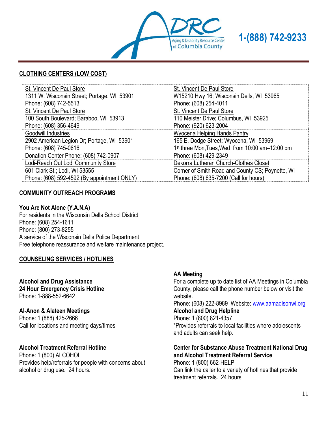

### <span id="page-11-0"></span>**CLOTHING CENTERS (LOW COST)**

| St. Vincent De Paul Store                   | St. Vincent De Paul Store                        |
|---------------------------------------------|--------------------------------------------------|
| 1311 W. Wisconsin Street; Portage, WI 53901 | W15210 Hwy 16; Wisconsin Dells, WI 53965         |
| Phone: (608) 742-5513                       | Phone: (608) 254-4011                            |
| St. Vincent De Paul Store                   | St. Vincent De Paul Store                        |
| 100 South Boulevard; Baraboo, WI 53913      | 110 Meister Drive; Columbus, WI 53925            |
| Phone: (608) 356-4649                       | Phone: (920) 623-2004                            |
| Goodwill Industries                         | Wyocena Helping Hands Pantry                     |
| 2902 American Legion Dr; Portage, WI 53901  | 165 E. Dodge Street; Wyocena, WI 53969           |
| Phone: (608) 745-0616                       | 1st three Mon, Tues, Wed from 10:00 am-12:00 pm  |
| Donation Center Phone: (608) 742-0907       | Phone: (608) 429-2349                            |
| Lodi-Reach Out Lodi Community Store         | Dekorra Lutheran Church-Clothes Closet           |
| 601 Clark St.; Lodi, WI 53555               | Corner of Smith Road and County CS; Poynette, WI |
| Phone: (608) 592-4592 (By appointment ONLY) | Phone: (608) 635-7200 (Call for hours)           |

### <span id="page-11-1"></span>**COMMUNITY OUTREACH PROGRAMS**

### **You Are Not Alone (Y.A.N.A)**

For residents in the Wisconsin Dells School District Phone: (608) 254-1611 Phone: (800) 273-8255 A service of the Wisconsin Dells Police Department Free telephone reassurance and welfare maintenance project.

### <span id="page-11-2"></span>**COUNSELING SERVICES / HOTLINES**

**Alcohol and Drug Assistance 24 Hour Emergency Crisis Hotline** Phone: 1-888-552-6642

### **Al-Anon & Alateen Meetings**

Phone: 1 (888) 425-2666 Call for locations and meeting days/times

### **Alcohol Treatment Referral Hotline**

Phone: 1 (800) ALCOHOL Provides help/referrals for people with concerns about alcohol or drug use. 24 hours.

### <span id="page-11-3"></span>**AA Meeting**

For a complete up to date list of AA Meetings in Columbia County, please call the phone number below or visit the website.

Phone: (608) 222-8989 Website[: www.aamadisonwi.org](http://www.aamadisonwi.org/) **Alcohol and Drug Helpline**

Phone: 1 (800) 821-4357 \*Provides referrals to local facilities where adolescents and adults can seek help.

### **Center for Substance Abuse Treatment National Drug and Alcohol Treatment Referral Service**

Phone: 1 (800) 662-HELP Can link the caller to a variety of hotlines that provide treatment referrals. 24 hours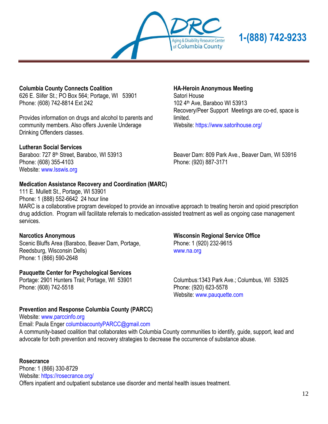

### **Columbia County Connects Coalition**

626 E. Slifer St.; PO Box 564; Portage, WI 53901 Phone: (608) 742-8814 Ext 242

Provides information on drugs and alcohol to parents and community members. Also offers Juvenile Underage Drinking Offenders classes.

### **Lutheran Social Services**

Phone: (608) 355-4103 Phone: (920) 887-3171 Website: [www.lsswis.org](http://www.lsswis.org/)

### **HA-Heroin Anonymous Meeting**

Satori House 102 4th Ave, Baraboo WI 53913 Recovery/Peer Support Meetings are co-ed, space is limited. Website:<https://www.satorihouse.org/>

Baraboo: 727 8<sup>th</sup> Street, Baraboo, WI 53913 Beaver Dam: 809 Park Ave., Beaver Dam, WI 53916

### **Medication Assistance Recovery and Coordination (MARC)**

111 E. Mullett St., Portage, WI 53901 Phone: 1 (888) 552-6642 24 hour line MARC is a collaborative program developed to provide an innovative approach to treating heroin and opioid prescription drug addiction. Program will facilitate referrals to medication-assisted treatment as well as ongoing case management services.

### **Narcotics Anonymous**

Scenic Bluffs Area (Baraboo, Beaver Dam, Portage, Reedsburg, Wisconsin Dells) Phone: 1 (866) 590-2648

### **Pauquette Center for Psychological Services**

Portage: 2901 Hunters Trail; Portage, WI 53901 Phone: (608) 742-5518

### **Wisconsin Regional Service Office**

Phone: 1 (920) 232-9615 [www.na.org](http://www.na.org/)

Columbus:1343 Park Ave.; Columbus, WI 53925 Phone: (920) 623-5578 Website: [www.pauquette.com](http://www.pauquette.com/)

### **Prevention and Response Columbia County (PARCC)**

Website: [www.parccinfo.org](http://www.parccinfo.org/)

#### Email: Paula Enger [columbiacountyPARCC@gmail.com](mailto:columbiacountyPARCC@gmail.com)

A community-based coalition that collaborates with Columbia County communities to identify, guide, support, lead and advocate for both prevention and recovery strategies to decrease the occurrence of substance abuse.

#### **Rosecrance**

Phone: 1 (866) 330-8729 Website:<https://rosecrance.org/> Offers inpatient and outpatient substance use disorder and mental health issues treatment.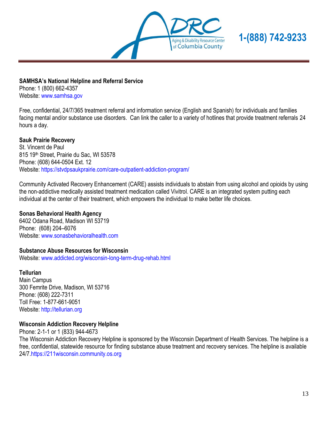

**SAMHSA's National Helpline and Referral Service**

Phone: 1 (800) 662-4357 Website: [www.samhsa.gov](http://www.samhsa.gov/)

Free, confidential, 24/7/365 treatment referral and information service (English and Spanish) for individuals and families facing mental and/or substance use disorders. Can link the caller to a variety of hotlines that provide treatment referrals 24 hours a day.

### **Sauk Prairie Recovery**

St. Vincent de Paul 815 19th Street, Prairie du Sac, WI 53578 Phone: (608) 644-0504 Ext. 12 Website:<https://stvdpsaukprairie.com/care-outpatient-addiction-program/>

Community Activated Recovery Enhancement (CARE) assists individuals to abstain from using alcohol and opioids by using the non-addictive medically assisted treatment medication called Vivitrol. CARE is an integrated system putting each individual at the center of their treatment, which empowers the individual to make better life choices.

### **Sonas Behavioral Health Agency**

6402 Odana Road, Madison WI 53719 Phone: (608) 204–6076 Website: [www.sonasbehavioralhealth.com](http://www.sonasbehavioralhealth.com/)

### **Substance Abuse Resources for Wisconsin**

Website: [www.addicted.org/wisconsin-long-term-drug-rehab.html](http://www.addicted.org/wisconsin-long-term-drug-rehab.html)

### **Tellurian**

Main Campus 300 Femrite Drive, Madison, WI 53716 Phone: (608) 222-7311 Toll Free: 1-877-661-9051 Website: [http://tellurian.org](http://tellurian.org/)

### **Wisconsin Addiction Recovery Helpline**

<span id="page-13-0"></span>Phone: 2-1-1 or 1 (833) 944-4673 The Wisconsin Addiction Recovery Helpline is sponsored by the Wisconsin Department of Health Services. The helpline is a free, confidential, statewide resource for finding substance abuse treatment and recovery services. The helpline is available 24/7[.https://211wisconsin.community.os.org](https://211wisconsin.community.os.org/)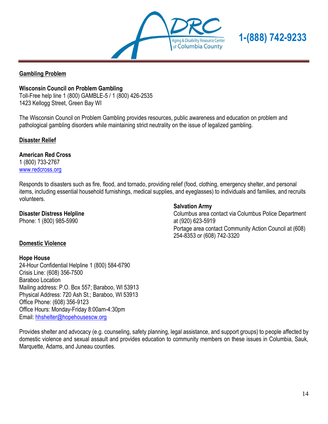

### **Gambling Problem**

### **Wisconsin Council on Problem Gambling**

Toll-Free help line 1 (800) GAMBLE-5 / 1 (800) 426-2535 1423 Kellogg Street, Green Bay WI

The Wisconsin Council on Problem Gambling provides resources, public awareness and education on problem and pathological gambling disorders while maintaining strict neutrality on the issue of legalized gambling.

### <span id="page-14-0"></span>**Disaster Relief**

**American Red Cross** 1 (800) 733-2767

[www.redcross.org](http://www.redcross.org/)

Responds to disasters such as fire, flood, and tornado, providing relief (food, clothing, emergency shelter, and personal items, including essential household furnishings, medical supplies, and eyeglasses) to individuals and families, and recruits volunteers.

### **Disaster Distress Helpline**

Phone: 1 (800) 985-5990

### **Salvation Army**

Columbus area contact via Columbus Police Department at (920) 623-5919 Portage area contact Community Action Council at (608) 254-8353 or (608) 742-3320

**1-(888) 742-9233**

### <span id="page-14-1"></span>**Domestic Violence**

### **Hope House**

24-Hour Confidential Helpline 1 (800) 584-6790 Crisis Line: (608) 356-7500 Baraboo Location Mailing address: P.O. Box 557; Baraboo, WI 53913 Physical Address: 720 Ash St.; Baraboo, WI 53913 Office Phone: (608) 356-9123 Office Hours: Monday-Friday 8:00am-4:30pm Email: [hhshelter@hopehousescw.org](mailto:hhshelter@hopehousescw.org)

Provides shelter and advocacy (e.g. counseling, safety planning, legal assistance, and support groups) to people affected by domestic violence and sexual assault and provides education to community members on these issues in Columbia, Sauk, Marquette, Adams, and Juneau counties.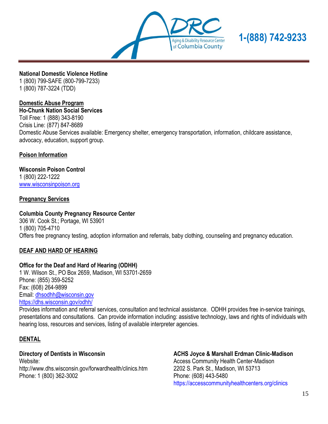

### **National Domestic Violence Hotline**

1 (800) 799-SAFE (800-799-7233) 1 (800) 787-3224 (TDD)

### **Domestic Abuse Program**

**Ho-Chunk Nation Social Services** Toll Free: 1 (888) 343-8190 Crisis Line: (877) 847-8689 Domestic Abuse Services available: Emergency shelter, emergency transportation, information, childcare assistance, advocacy, education, support group.

### <span id="page-15-0"></span>**Poison Information**

**Wisconsin Poison Control** 1 (800) 222-1222 [www.wisconsinpoison.org](http://www.wisconsinpoison.org/)

### <span id="page-15-1"></span>**Pregnancy Services**

### **Columbia County Pregnancy Resource Center**

306 W. Cook St.; Portage, WI 53901 1 (800) 705-4710 Offers free pregnancy testing, adoption information and referrals, baby clothing, counseling and pregnancy education.

### <span id="page-15-2"></span>**DEAF AND HARD OF HEARING**

### **[Office for the Deaf and Hard of Hearing](mailto:dhsodhh@dhs.wisconsin.gov) (ODHH)**

1 W. Wilson St., PO Box 2659, Madison, WI 53701-2659 Phone: (855) 359-5252 Fax: (608) 264-9899 Email: [dhsodhh@wisconsin.gov](mailto:dhsodhh@wisconsin.gov) <https://dhs.wisconsin.gov/odhh/>

Provides information and referral services, consultation and technical assistance. ODHH provides free in-service trainings, presentations and consultations. Can provide information including: assistive technology, laws and rights of individuals with hearing loss, resources and services, listing of available interpreter agencies.

### <span id="page-15-3"></span>**DENTAL**

### **Directory of Dentists in Wisconsin**

Website: http://www.dhs.wisconsin.gov/forwardhealth/clinics.htm Phone: 1 (800) 362-3002

### **ACHS Joyce & Marshall Erdman Clinic-Madison**

Access Community Health Center-Madison 2202 S. Park St., Madison, WI 53713 Phone: (608) 443-5480 <https://accesscommunityhealthcenters.org/clinics>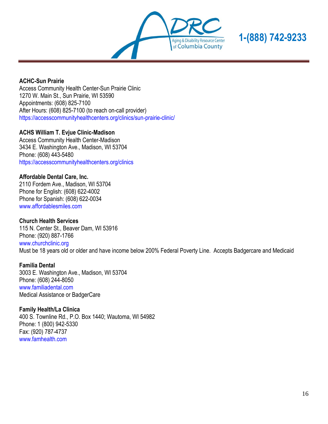

### **ACHC-Sun Prairie**

Access Community Health Center-Sun Prairie Clinic 1270 W. Main St., Sun Prairie, WI 53590 Appointments: (608) 825-7100 After Hours: (608) 825-7100 (to reach on-call provider) <https://accesscommunityhealthcenters.org/clinics/sun-prairie-clinic/>

### **ACHS William T. Evjue Clinic-Madison**

Access Community Health Center-Madison 3434 E. Washington Ave., Madison, WI 53704 Phone: (608) 443-5480 <https://accesscommunityhealthcenters.org/clinics>

### **Affordable Dental Care, Inc.**

2110 Fordem Ave., Madison, WI 53704 Phone for English: (608) 622-4002 Phone for Spanish: (608) 622-0034 [www.affordablesmiles.com](http://www.affordablesmiles.com/)

### **Church Health Services**

115 N. Center St., Beaver Dam, WI 53916 Phone: (920) 887-1766 [www.churchclinic.org](http://www.churchclinic.org/) Must be 18 years old or older and have income below 200% Federal Poverty Line. Accepts Badgercare and Medicaid

### **Familia Dental**

3003 E. Washington Ave., Madison, WI 53704 Phone: (608) 244-8050 [www.familiadental.com](http://www.familiadental.com/) Medical Assistance or BadgerCare

### **Family Health/La Clinica**

400 S. Townline Rd., P.O. Box 1440; Wautoma, WI 54982 Phone: 1 (800) 942-5330 Fax: (920) 787-4737 [www.famhealth.com](http://www.famhealth.com/)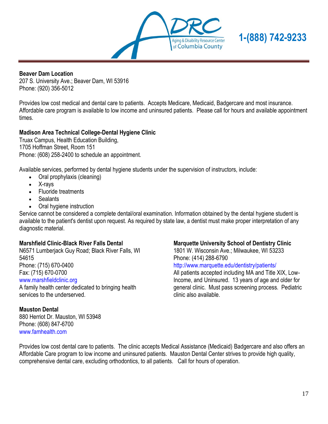

### **Beaver Dam Location**

207 S. University Ave.; Beaver Dam, WI 53916 Phone: (920) 356-5012

Provides low cost medical and dental care to patients. Accepts Medicare, Medicaid, Badgercare and most insurance. Affordable care program is available to low income and uninsured patients. Please call for hours and available appointment times.

### **Madison Area Technical College-Dental Hygiene Clinic**

Truax Campus, Health Education Building, 1705 Hoffman Street, Room 151 Phone: (608) 258-2400 to schedule an appointment.

Available services, performed by dental hygiene students under the supervision of instructors, include:

- Oral prophylaxis (cleaning)
- X-rays
- Fluoride treatments
- Sealants
- Oral hygiene instruction

Service cannot be considered a complete dental/oral examination. Information obtained by the dental hygiene student is available to the patient's dentist upon request. As required by state law, a dentist must make proper interpretation of any diagnostic material.

### **Marshfield Clinic-Black River Falls Dental**

N6571 Lumberjack Guy Road; Black River Falls, WI 54615 Phone: (715) 670-0400 Fax: (715) 670-0700 [www.marshfieldclinic.org](http://www.marshfieldclinic.org/) A family health center dedicated to bringing health services to the underserved.

### **Mauston Dental**

880 Herriot Dr. Mauston, WI 53948 Phone: (608) 847-6700 [www.famhealth.com](http://www.famhealth.com/)

### **Marquette University School of Dentistry Clinic**

**1-(888) 742-9233**

1801 W. Wisconsin Ave.; Milwaukee, WI 53233 Phone: (414) 288-6790 <http://www.marquette.edu/dentistry/patients/>

All patients accepted including MA and Title XIX, Low-Income, and Uninsured. 13 years of age and older for general clinic. Must pass screening process. Pediatric clinic also available.

Provides low cost dental care to patients. The clinic accepts Medical Assistance (Medicaid) Badgercare and also offers an Affordable Care program to low income and uninsured patients. Mauston Dental Center strives to provide high quality, comprehensive dental care, excluding orthodontics, to all patients. Call for hours of operation.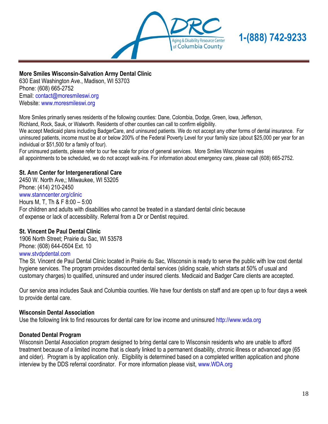

### **More Smiles Wisconsin-Salvation Army Dental Clinic**

630 East Washington Ave., Madison, WI 53703 Phone: (608) 665-2752 Email: [contact@moresmileswi.org](mailto:contact@moresmileswi.org) Website: [www.moresmileswi.org](http://www.moresmileswi.org/)

More Smiles primarily serves residents of the following counties: Dane, Colombia, Dodge, Green, Iowa, Jefferson, Richland, Rock, Sauk, or Walworth. Residents of other counties can call to confirm eligibility.

We accept Medicaid plans including BadgerCare, and uninsured patients. We do not accept any other forms of dental insurance. For uninsured patients, income must be at or below 200% of the [Federal Poverty Level](https://www.dhs.wisconsin.gov/medicaid/fpl.htm) for your family size (about \$25,000 per year for an individual or \$51,500 for a family of four).

For uninsured patients, please refer to our [fee scale](http://www.moresmileswi.org/wp-content/uploads/2020/01/2020_Fee_Sheet.pdf) for price of general services. More Smiles Wisconsin requires all appointments to be scheduled, we do not accept walk-ins. For information about emergency care, please call [\(608\) 665-2752.](tel:%20(608)%20665-2752)

### **St. Ann Center for Intergenerational Care**

2450 W. North Ave,; Milwaukee, WI 53205 Phone: (414) 210-2450 www.stanncenter.org/clinic

Hours M, T, Th & F 8:00 – 5:00 For children and adults with disabilities who cannot be treated in a standard dental clinic because of expense or lack of accessibility. Referral from a Dr or Dentist required.

### **St. Vincent De Paul Dental Clinic**

1906 North Street; Prairie du Sac, WI 53578 Phone: (608) 644-0504 Ext. 10 [www.stvdpdental.com](http://www.stvdpdental.com/)

The St. Vincent de Paul Dental Clinic located in Prairie du Sac, Wisconsin is ready to serve the public with low cost dental hygiene services. The program provides discounted dental services (sliding scale, which starts at 50% of usual and customary charges) to qualified, uninsured and under insured clients. Medicaid and Badger Care clients are accepted.

Our service area includes Sauk and Columbia counties. We have four dentists on staff and are open up to four days a week to provide dental care.

### **Wisconsin Dental Association**

Use the following link to find resources for dental care for low income and uninsured [http://www.wda.org](http://www.wda.org/)

### **Donated Dental Program**

<span id="page-18-0"></span>Wisconsin Dental Association program designed to bring dental care to Wisconsin residents who are unable to afford treatment because of a limited income that is clearly linked to a permanent disability, chronic illness or advanced age (65 and older). Program is by application only. Eligibility is determined based on a completed written application and phone interview by the DDS referral coordinator. For more information please visit, [www.WDA.org](http://www.wda.org/)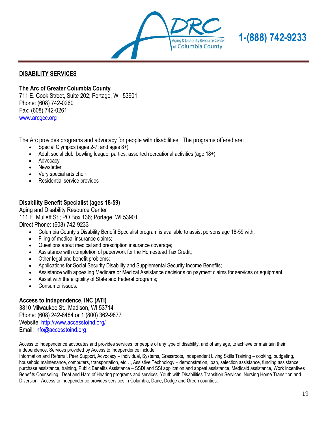

### **DISABILITY SERVICES**

### **The Arc of Greater Columbia County**

711 E. Cook Street, Suite 202; Portage, WI 53901 Phone: (608) 742-0260 Fax: (608) 742-0261 [www.arcgcc.org](http://www.arcgcc.org/)

The Arc provides programs and advocacy for people with disabilities. The programs offered are:

- Special Olympics (ages 2-7, and ages 8+)
- Adult social club; bowling league, parties, assorted recreational activities (age 18+)
- **Advocacy**
- **Newsletter**
- Very special arts choir
- Residential service provides

### **Disability Benefit Specialist (ages 18-59)**

Aging and Disability Resource Center 111 E. Mullett St.; PO Box 136; Portage, WI 53901 Direct Phone: (608) 742-9233

- Columbia County's Disability Benefit Specialist program is available to assist persons age 18-59 with:
- Filing of medical insurance claims;
- Questions about medical and prescription insurance coverage;
- Assistance with completion of paperwork for the Homestead Tax Credit;
- Other legal and benefit problems;
- Applications for Social Security Disability and Supplemental Security Income Benefits;
- Assistance with appealing Medicare or Medical Assistance decisions on payment claims for services or equipment;
- Assist with the eligibility of State and Federal programs;
- Consumer issues.

### **Access to Independence, INC (ATI)**

3810 Milwaukee St., Madison, WI 53714 Phone: (608) 242-8484 or 1 (800) 362-9877 Website: <http://www.accesstoind.org/> Email: [info@accesstoind.org](mailto:info@accesstoind.org)

Access to Independence advocates and provides services for people of any type of disability, and of any age, to achieve or maintain their independence. Services provided by Access to Independence include:

Information and Referral, Peer Support, Advocacy – Individual, Systems, Grassroots, Independent Living Skills Training – cooking, budgeting, household maintenance, computers, transportation, etc…, Assistive Technology – demonstration, loan, selection assistance, funding assistance, purchase assistance, training, Public Benefits Assistance – SSDI and SSI application and appeal assistance, Medicaid assistance, Work Incentives Benefits Counseling , Deaf and Hard of Hearing programs and services, Youth with Disabilities Transition Services, Nursing Home Transition and Diversion. Access to Independence provides services in Columbia, Dane, Dodge and Green counties.

**1-(888) 742-9233**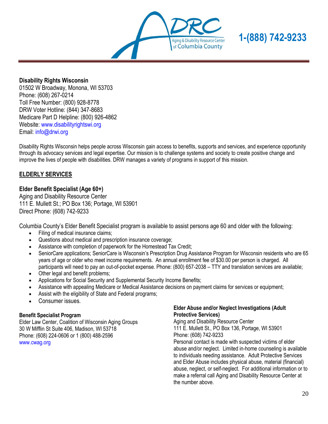

### **Disability Rights Wisconsin**

01502 W Broadway, Monona, WI 53703 Phone: (608) 267-0214 Toll Free Number: (800) 928-8778 DRW Voter Hotline: (844) 347-8683 Medicare Part D Helpline: (800) 926-4862 Website: [www.disabilityrightswi.org](http://www.disabilityrightswi.org/) Email: [info@drwi.org](mailto:info@drwi.org)

Disability Rights Wisconsin helps people across Wisconsin gain access to benefits, supports and services, and experience opportunity through its advocacy services and legal expertise. Our mission is to challenge systems and society to create positive change and improve the lives of people with disabilities. DRW manages a variety of programs in support of this mission.

### <span id="page-20-0"></span>**ELDERLY SERVICES**

### **Elder Benefit Specialist (Age 60+)**

Aging and Disability Resource Center 111 E. Mullett St.; PO Box 136; Portage, WI 53901 Direct Phone: (608) 742-9233

Columbia County's Elder Benefit Specialist program is available to assist persons age 60 and older with the following:

- Filing of medical insurance claims;
- Questions about medical and prescription insurance coverage;
- Assistance with completion of paperwork for the Homestead Tax Credit;
- SeniorCare applications; SeniorCare is Wisconsin's Prescription Drug Assistance Program for Wisconsin residents who are 65 years of age or older who meet income requirements. An annual enrollment fee of \$30.00 per person is charged. All participants will need to pay an out-of-pocket expense. Phone: (800) 657-2038 – TTY and translation services are available;
- Other legal and benefit problems;
- Applications for Social Security and Supplemental Security Income Benefits;
- Assistance with appealing Medicare or Medical Assistance decisions on payment claims for services or equipment;
- Assist with the eligibility of State and Federal programs;
- Consumer issues.

### **Benefit Specialist Program**

Elder Law Center, Coalition of Wisconsin Aging Groups 30 W Mifflin St Suite 406, Madison, WI 53718 Phone: (608) 224-0606 or 1 (800) 488-2596 [www.cwag.org](http://www.cwag.org/)

#### **Elder Abuse and/or Neglect Investigations (Adult Protective Services)**

Aging and Disability Resource Center 111 E. Mullett St., PO Box 136, Portage, WI 53901 Phone: (608) 742-9233 Personal contact is made with suspected victims of elder abuse and/or neglect. Limited in-home counseling is available to individuals needing assistance. Adult Protective Services and Elder Abuse includes physical abuse, material (financial) abuse, neglect, or self-neglect. For additional information or to make a referral call Aging and Disability Resource Center at the number above.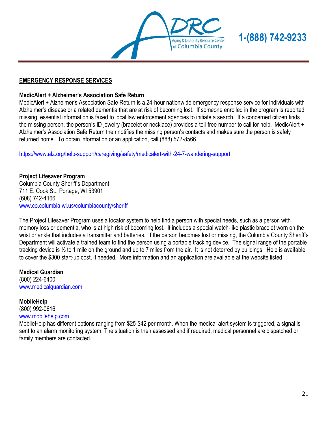

### **EMERGENCY RESPONSE SERVICES**

**MedicAlert + Alzheimer's Association Safe Return**

MedicAlert + Alzheimer's Association Safe Return is a 24-hour nationwide emergency response service for individuals with Alzheimer's disease or a related dementia that are at risk of becoming lost. If someone enrolled in the program is reported missing, essential information is faxed to local law enforcement agencies to initiate a search. If a concerned citizen finds the missing person, the person's ID jewelry (bracelet or necklace) provides a toll-free number to call for help. MedicAlert + Alzheimer's Association Safe Return then notifies the missing person's contacts and makes sure the person is safely returned home. To obtain information or an application, call (888) 572-8566.

<https://www.alz.org/help-support/caregiving/safety/medicalert-with-24-7-wandering-support>

**Project Lifesaver Program** Columbia County Sheriff's Department 711 E. Cook St., Portage, WI 53901 (608) 742-4166 [www.co.columbia.wi.us/columbiacounty/sheriff](http://www.co.columbia.wi.us/columbiacounty/sheriff)

The Project Lifesaver Program uses a locator system to help find a person with special needs, such as a person with memory loss or dementia, who is at high risk of becoming lost. It includes a special watch-like plastic bracelet worn on the wrist or ankle that includes a transmitter and batteries. If the person becomes lost or missing, the Columbia County Sheriff's Department will activate a trained team to find the person using a portable tracking device. The signal range of the portable tracking device is ½ to 1 mile on the ground and up to 7 miles from the air. It is not deterred by buildings. Help is available to cover the \$300 start-up cost, if needed. More information and an application are available at the website listed.

<span id="page-21-0"></span>**Medical Guardian** (800) 224-6400 [www.medicalguardian.com](http://www.medicalguardian.com/)

**MobileHelp** (800) 992-0616 [www.mobilehelp.com](http://www.mobilehelp.com/)

MobileHelp has different options ranging from \$25-\$42 per month. When the medical alert system is triggered, a signal is sent to an alarm monitoring system. The situation is then assessed and if required, medical personnel are dispatched or family members are contacted.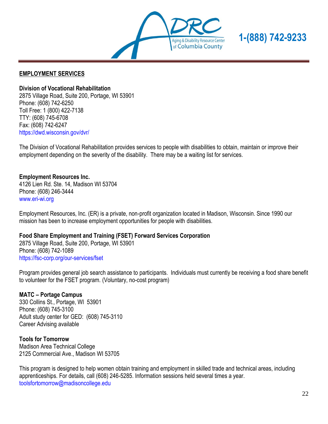

### **EMPLOYMENT SERVICES**

### **Division of Vocational Rehabilitation**

2875 Village Road, Suite 200, Portage, WI 53901 Phone: (608) 742-6250 Toll Free: 1 (800) 422-7138 TTY: (608) 745-6708 Fax: (608) 742-6247 <https://dwd.wisconsin.gov/dvr/>

The Division of Vocational Rehabilitation provides services to people with disabilities to obtain, maintain or improve their employment depending on the severity of the disability. There may be a waiting list for services.

### **Employment Resources Inc.**

4126 Lien Rd. Ste. 14, Madison WI 53704 Phone: (608) 246-3444 [www.eri-wi.org](http://www.eri-wi.org/)

Employment Resources, Inc. (ER) is a private, non-profit organization located in Madison, Wisconsin. Since 1990 our mission has been to increase employment opportunities for people with disabilities.

### **Food Share Employment and Training (FSET) Forward Services Corporation**

2875 Village Road, Suite 200, Portage, WI 53901 Phone: (608) 742-1089 <https://fsc-corp.org/our-services/fset>

Program provides general job search assistance to participants. Individuals must currently be receiving a food share benefit to volunteer for the FSET program. (Voluntary, no-cost program)

### **MATC – Portage Campus**

330 Collins St., Portage, WI 53901 Phone: (608) 745-3100 Adult study center for GED: (608) 745-3110 Career Advising available

### **Tools for Tomorrow**

Madison Area Technical College 2125 Commercial Ave., Madison WI 53705

This program is designed to help women obtain training and employment in skilled trade and technical areas, including apprenticeships. For details, call (608) 246-5285. Information sessions held several times a year. [toolsfortomorrow@madisoncollege.edu](mailto:toolsfortomorrow@madisoncollege.edu)

**1-(888) 742-9233**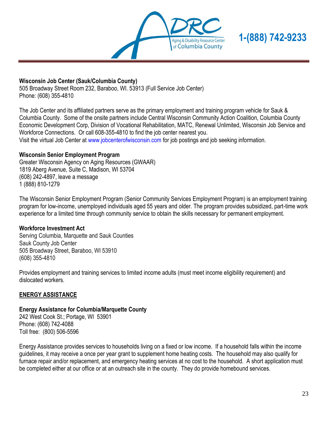

### **Wisconsin Job Center (Sauk/Columbia County)**

505 Broadway Street Room 232, Baraboo, WI. 53913 (Full Service Job Center) Phone: (608) 355-4810

The Job Center and its affiliated partners serve as the primary employment and training program vehicle for Sauk & Columbia County. Some of the onsite partners include Central Wisconsin Community Action Coalition, Columbia County Economic Development Corp, Division of Vocational Rehabilitation, MATC, Renewal Unlimited, Wisconsin Job Service and Workforce Connections. Or call 608-355-4810 to find the job center nearest you. Visit the virtual Job Center at [www.jobcenterofwisconsin.com](http://www.jobcenterofwisconsin.com/) for job postings and job seeking information.

### **Wisconsin Senior Employment Program**

Greater Wisconsin Agency on Aging Resources (GWAAR) 1819 Aberg Avenue, Suite C, Madison, WI 53704 (608) 242-4897, leave a message 1 (888) 810-1279

The Wisconsin Senior Employment Program (Senior Community Services Employment Program) is an employment training program for low-income, unemployed individuals aged 55 years and older. The program provides subsidized, part-time work experience for a limited time through community service to obtain the skills necessary for permanent employment.

### **Workforce Investment Act**

Serving Columbia, Marquette and Sauk Counties Sauk County Job Center 505 Broadway Street, Baraboo, WI 53910 (608) 355-4810

Provides employment and training services to limited income adults (must meet income eligibility requirement) and dislocated workers.

### <span id="page-23-0"></span>**ENERGY ASSISTANCE**

### **Energy Assistance for Columbia/Marquette County**

242 West Cook St.; Portage, WI 53901 Phone: (608) 742-4088 Toll free: (800) 506-5596

Energy Assistance provides services to households living on a fixed or low income. If a household falls within the income guidelines, it may receive a once per year grant to supplement home heating costs. The household may also qualify for furnace repair and/or replacement, and emergency heating services at no cost to the household. A short application must be completed either at our office or at an outreach site in the county. They do provide homebound services.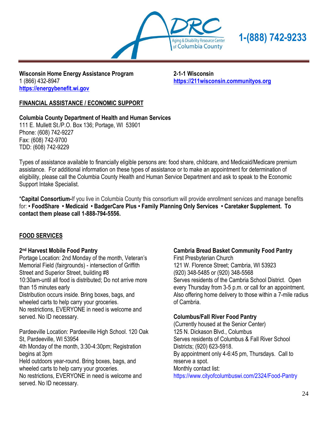



**Wisconsin Home Energy Assistance Program 2-1-1 Wisconsin**  1 (866) 432-8947 **[https://211wisconsin.communityos.org](https://211wisconsin.communityos.org/) [https://energybenefit.wi.gov](https://energybenefit.wi.gov/)**

### <span id="page-24-0"></span>**FINANCIAL ASSISTANCE / ECONOMIC SUPPORT**

### **Columbia County Department of Health and Human Services**

111 E. Mullett St./P.O. Box 136; Portage, WI 53901 Phone: (608) 742-9227 Fax: (608) 742-9700 TDD: (608) 742-9229

Types of assistance available to financially eligible persons are: food share, childcare, and Medicaid/Medicare premium assistance. For additional information on these types of assistance or to make an appointment for determination of eligibility, please call the Columbia County Health and Human Service Department and ask to speak to the Economic Support Intake Specialist.

\***Capital Consortium-**If you live in Columbia County this consortium will provide enrollment services and manage benefits for: **• FoodShare • Medicaid • BadgerCare Plus • Family Planning Only Services • Caretaker Supplement. To contact them please call 1-888-794-5556.**

### <span id="page-24-1"></span>**FOOD SERVICES**

### **2 nd Harvest Mobile Food Pantry**

Portage Location: 2nd Monday of the month, Veteran's Memorial Field (fairgrounds) - intersection of Griffith Street and Superior Street, building #8 10:30am-until all food is distributed; Do not arrive more than 15 minutes early Distribution occurs inside. Bring boxes, bags, and wheeled carts to help carry your groceries. No restrictions, EVERYONE in need is welcome and served. No ID necessary.

Pardeeville Location: Pardeeville High School. 120 Oak St, Pardeeville, WI 53954

4th Monday of the month, 3:30-4:30pm; Registration begins at 3pm

Held outdoors year-round. Bring boxes, bags, and wheeled carts to help carry your groceries.

No restrictions, EVERYONE in need is welcome and served. No ID necessary.

### **Cambria Bread Basket Community Food Pantry**

First Presbyterian Church 121 W. Florence Street; Cambria, WI 53923 (920) 348-5485 or (920) 348-5568 Serves residents of the Cambria School District. Open every Thursday from 3-5 p.m. or call for an appointment. Also offering home delivery to those within a 7-mile radius of Cambria.

### **Columbus/Fall River Food Pantry**

(Currently housed at the Senior Center) 125 N. Dickason Blvd., Columbus Serves residents of Columbus & Fall River School Districts; (920) 623-5918. By appointment only 4-6:45 pm, Thursdays. Call to reserve a spot. Monthly contact list: <https://www.cityofcolumbuswi.com/2324/Food-Pantry>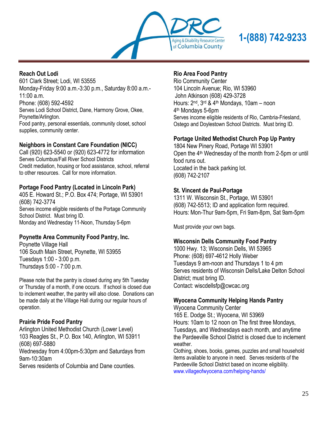

### **Reach Out Lodi**

601 Clark Street; Lodi, WI 53555 Monday-Friday 9:00 a.m.-3:30 p.m., Saturday 8:00 a.m.- 11:00 a.m. Phone: (608) 592-4592 Serves Lodi School District, Dane, Harmony Grove, Okee, Poynette/Arlington. Food pantry, personal essentials, community closet, school supplies, community center.

### **Neighbors in Constant Care Foundation (NICC)**

Call (920) 623-5540 or (920) 623-4772 for information Serves Columbus/Fall River School Districts Credit mediation, housing or food assistance, school, referral to other resources. Call for more information.

### **Portage Food Pantry (Located in Lincoln Park)**

405 E. Howard St.; P.O. Box 474; Portage, WI 53901 (608) 742-3774 Serves income eligible residents of the Portage Community School District. Must bring ID. Monday and Wednesday 11-Noon, Thursday 5-6pm

### **Poynette Area Community Food Pantry, Inc.**

Poynette Village Hall 106 South Main Street, Poynette, WI 53955 Tuesdays 1:00 - 3:00 p.m. Thursdays 5:00 - 7:00 p.m.

Please note that the pantry is closed during any 5th Tuesday or Thursday of a month, if one occurs. If school is closed due to inclement weather, the pantry will also close. Donations can be made daily at the Village Hall during our regular hours of operation.

### **Prairie Pride Food Pantry**

Arlington United Methodist Church (Lower Level) 103 Reagles St., P.O. Box 140, Arlington, WI 53911 (608) 697-5880

Wednesday from 4:00pm-5:30pm and Saturdays from 9am-10:30am

Serves residents of Columbia and Dane counties.

### **Rio Area Food Pantry**

Rio Community Center 104 Lincoln Avenue; Rio, WI 53960 John Atkinson (608) 429-3728 Hours: 2nd, 3rd & 4th Mondays, 10am – noon 4 th Mondays 5-6pm Serves income eligible residents of Rio, Cambria-Friesland, Ostego and Doylestown School Districts. Must bring ID.

### **Portage United Methodist Church Pop Up Pantry**

1804 New Pinery Road, Portage WI 53901 Open the 4th Wednesday of the month from 2-5pm or until food runs out. Located in the back parking lot. (608) 742-2107

### **St. Vincent de Paul-Portage**

1311 W. Wisconsin St., Portage, WI 53901 (608) 742-5513; ID and application form required. Hours: Mon-Thur 9am-5pm, Fri 9am-8pm, Sat 9am-5pm

Must provide your own bags.

### **Wisconsin Dells Community Food Pantry**

1000 Hwy. 13; Wisconsin Dells, WI 53965 Phone: (608) 697-4612 Holly Weber Tuesdays 9 am-noon and Thursdays 1 to 4 pm Serves residents of Wisconsin Dells/Lake Delton School District; must bring ID. Contact: wiscdellsfp@cwcac.org

### **Wyocena Community Helping Hands Pantry**

Wyocena Community Center 165 E. Dodge St.; Wyocena, WI 53969 Hours: 10am to 12 noon on The first three Mondays, Tuesdays, and Wednesdays each month, and anytime the Pardeeville School District is closed due to inclement weather

<span id="page-25-0"></span>Clothing, shoes, books, games, puzzles and small household items available to anyone in need. Serves residents of the Pardeeville School District based on income eligibility. [www.villageofwyocena.com/helping-hands/](http://www.villageofwyocena.com/helping-hands/)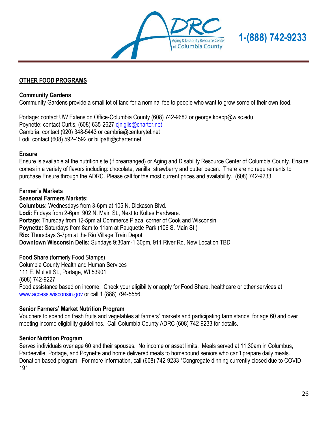

### **OTHER FOOD PROGRAMS**

### **Community Gardens**

Community Gardens provide a small lot of land for a nominal fee to people who want to grow some of their own food.

Portage: contact UW Extension Office-Columbia County (608) 742-9682 or george.koepp@wisc.edu Poynette: contact Curtis, (608) 635-2627 [cjniglis@charter.net](mailto:cjniglis@charter.net) Cambria: contact (920) 348-5443 or cambria@centurytel.net Lodi: contact (608) 592-4592 or billpatti@charter.net

### **Ensure**

Ensure is available at the nutrition site (if prearranged) or Aging and Disability Resource Center of Columbia County. Ensure comes in a variety of flavors including: chocolate, vanilla, strawberry and butter pecan. There are no requirements to purchase Ensure through the ADRC. Please call for the most current prices and availability. (608) 742-9233.

### **Farmer's Markets**

### **Seasonal Farmers Markets:**

**Columbus:** Wednesdays from 3-6pm at 105 N. Dickason Blvd. **Lodi:** Fridays from 2-6pm; 902 N. Main St., Next to Koltes Hardware. **Portage:** Thursday from 12-5pm at Commerce Plaza, corner of Cook and Wisconsin **Poynette:** Saturdays from 8am to 11am at Pauquette Park (106 S. Main St.) **Rio:** Thursdays 3-7pm at the Rio Village Train Depot **Downtown Wisconsin Dells:** Sundays 9:30am-1:30pm, 911 River Rd. New Location TBD

**Food Share** (formerly Food Stamps) Columbia County Health and Human Services 111 E. Mullett St., Portage, WI 53901 (608) 742-9227 Food assistance based on income. Check your eligibility or apply for Food Share, healthcare or other services at [www.access.wisconsin.gov](http://www.access.wisconsin.gov/) or call 1 (888) 794-5556.

### **Senior Farmers' Market Nutrition Program**

Vouchers to spend on fresh fruits and vegetables at farmers' markets and participating farm stands, for age 60 and over meeting income eligibility guidelines. Call Columbia County ADRC (608) 742-9233 for details.

### **Senior Nutrition Program**

Serves individuals over age 60 and their spouses. No income or asset limits. Meals served at 11:30am in Columbus, Pardeeville, Portage, and Poynette and home delivered meals to homebound seniors who can't prepare daily meals. Donation based program. For more information, call (608) 742-9233 \*Congregate dinning currently closed due to COVID-19\*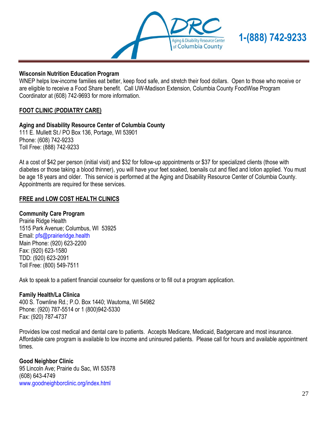

### **Wisconsin Nutrition Education Program**

WNEP helps low-income families eat better, keep food safe, and stretch their food dollars. Open to those who receive or are eligible to receive a Food Share benefit. Call UW-Madison Extension, Columbia County FoodWise Program Coordinator at (608) 742-9693 for more information.

### <span id="page-27-0"></span>**FOOT CLINIC (PODIATRY CARE)**

### **Aging and Disability Resource Center of Columbia County**

111 E. Mullett St./ PO Box 136, Portage, WI 53901 Phone: (608) 742-9233 Toll Free: (888) 742-9233

At a cost of \$42 per person (initial visit) and \$32 for follow-up appointments or \$37 for specialized clients (those with diabetes or those taking a blood thinner), you will have your feet soaked, toenails cut and filed and lotion applied. You must be age 18 years and older. This service is performed at the Aging and Disability Resource Center of Columbia County. Appointments are required for these services.

### <span id="page-27-1"></span>**FREE and LOW COST HEALTH CLINICS**

### **Community Care Program**

Prairie Ridge Health 1515 Park Avenue; Columbus, WI 53925 Email: [pfs@prairieridge.health](mailto:pfs@prairieridge.health) Main Phone: (920) 623-2200 Fax: (920) 623-1580 TDD: (920) 623-2091 Toll Free: (800) 549-7511

Ask to speak to a patient financial counselor for questions or to fill out a program application.

### **Family Health/La Clinica**

400 S. Townline Rd.; P.O. Box 1440; Wautoma, WI 54982 Phone: (920) 787-5514 or 1 (800)942-5330 Fax: (920) 787-4737

Provides low cost medical and dental care to patients. Accepts Medicare, Medicaid, Badgercare and most insurance. Affordable care program is available to low income and uninsured patients. Please call for hours and available appointment times.

### **Good Neighbor Clinic**

95 Lincoln Ave; Prairie du Sac, WI 53578 (608) 643-4749 [www.goodneighborclinic.org/index.html](http://www.goodneighborclinic.org/index.html)

**1-(888) 742-9233**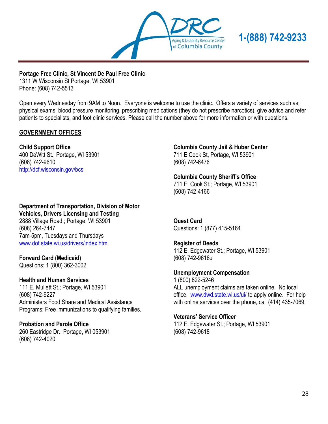

### **Portage Free Clinic, St Vincent De Paul Free Clinic**

1311 W Wisconsin St Portage, WI 53901 Phone: (608) 742-5513

Open every Wednesday from 9AM to Noon. Everyone is welcome to use the clinic. Offers a variety of services such as; physical exams, blood pressure monitoring, prescribing medications (they do not prescribe narcotics), give advice and refer patients to specialists, and foot clinic services. Please call the number above for more information or with questions.

### <span id="page-28-0"></span>**GOVERNMENT OFFICES**

### **Child Support Office**

400 DeWitt St.; Portage, WI 53901 (608) 742-9610 <http://dcf.wisconsin.gov/bcs>

### **Department of Transportation, Division of Motor Vehicles, Drivers Licensing and Testing** 2888 Village Road.; Portage, WI 53901 (608) 264-7447 7am-5pm, Tuesdays and Thursdays [www.dot.state.wi.us/drivers/index.htm](http://www.dot.state.wi.us/drivers/index.htm)

### **Forward Card (Medicaid)**

Questions: 1 (800) 362-3002

### **Health and Human Services**

111 E. Mullett St.; Portage, WI 53901 (608) 742-9227 Administers Food Share and Medical Assistance Programs; Free immunizations to qualifying families.

### **Probation and Parole Office**

<span id="page-28-1"></span>260 Eastridge Dr.; Portage, WI 053901 (608) 742-4020

### **Columbia County Jail & Huber Center**

711 E Cook St, Portage, WI 53901 (608) 742-6476

### **Columbia County Sheriff's Office**

711 E. Cook St.; Portage, WI 53901 (608) 742-4166

### **Quest Card** Questions: 1 (877) 415-5164

### **Register of Deeds**

112 E. Edgewater St.; Portage, WI 53901 (608) 742-9616u

### **Unemployment Compensation**

1 (800) 822-5246 ALL unemployment claims are taken online. No local office. [www.dwd.state.wi.us/ui/](http://www.dwd.state.wi.us/ui/) to apply online. For help with online services over the phone, call (414) 435-7069.

### **Veterans' Service Officer**

112 E. Edgewater St.; Portage, WI 53901 (608) 742-9618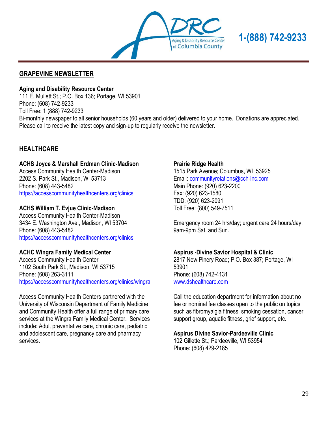

### **GRAPEVINE NEWSLETTER**

### **Aging and Disability Resource Center**

111 E. Mullett St.; P.O. Box 136; Portage, WI 53901 Phone: (608) 742-9233 Toll Free: 1 (888) 742-9233 Bi-monthly newspaper to all senior households (60 years and older) delivered to your home. Donations are appreciated. Please call to receive the latest copy and sign-up to regularly receive the newsletter.

### <span id="page-29-0"></span>**HEALTHCARE**

### **ACHS Joyce & Marshall Erdman Clinic-Madison**

Access Community Health Center-Madison 2202 S. Park St., Madison, WI 53713 Phone: (608) 443-5482 <https://accesscommunityhealthcenters.org/clinics>

### **ACHS William T. Evjue Clinic-Madison**

Access Community Health Center-Madison 3434 E. Washington Ave., Madison, WI 53704 Phone: (608) 443-5482 <https://accesscommunityhealthcenters.org/clinics>

### **ACHC Wingra Family Medical Center**

Access Community Health Center 1102 South Park St., Madison, WI 53715 Phone: (608) 263-3111 <https://accesscommunityhealthcenters.org/clinics/wingra>

Access Community Health Centers partnered with the University of Wisconsin Department of Family Medicine and Community Health offer a full range of primary care services at the Wingra Family Medical Center. Services include: Adult preventative care, chronic care, pediatric and adolescent care, pregnancy care and pharmacy services.

### **Prairie Ridge Health**

1515 Park Avenue; Columbus, WI 53925 Email: [communityrelations@cch-inc.com](mailto:communityrelations@cch-inc.com) Main Phone: (920) 623-2200 Fax: (920) 623-1580 TDD: (920) 623-2091 Toll Free: (800) 549-7511

Emergency room 24 hrs/day; urgent care 24 hours/day, 9am-9pm Sat. and Sun.

### **Aspirus -Divine Savior Hospital & Clinic**

2817 New Pinery Road; P.O. Box 387; Portage, WI 53901 Phone: (608) 742-4131 [www.dshealthcare.com](http://www.dshealthcare.com/)

Call the education department for information about no fee or nominal fee classes open to the public on topics such as fibromyalgia fitness, smoking cessation, cancer support group, aquatic fitness, grief support, etc.

### **Aspirus Divine Savior-Pardeeville Clinic**

102 Gillette St.; Pardeeville, WI 53954 Phone: (608) 429-2185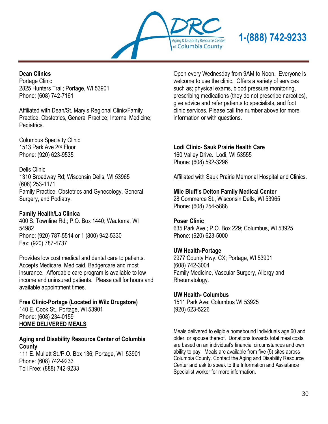

### **Dean Clinics**

Portage Clinic 2825 Hunters Trail; Portage, WI 53901 Phone: (608) 742-7161

Affiliated with Dean/St. Mary's Regional Clinic/Family Practice, Obstetrics, General Practice; Internal Medicine; Pediatrics.

Columbus Specialty Clinic 1513 Park Ave 2nd Floor Phone: (920) 623-9535

Dells Clinic 1310 Broadway Rd; Wisconsin Dells, WI 53965 (608) 253-1171 Family Practice, Obstetrics and Gynecology, General Surgery, and Podiatry.

### **Family Health/La Clinica**

400 S. Townline Rd.; P.O. Box 1440; Wautoma, WI 54982 Phone: (920) 787-5514 or 1 (800) 942-5330 Fax: (920) 787-4737

Provides low cost medical and dental care to patients. Accepts Medicare, Medicaid, Badgercare and most insurance. Affordable care program is available to low income and uninsured patients. Please call for hours and available appointment times.

**Free Clinic-Portage (Located in Wilz Drugstore)** 140 E. Cook St., Portage, WI 53901 Phone: (608) 234-0159 **HOME DELIVERED MEALS**

### **Aging and Disability Resource Center of Columbia County**

111 E. Mullett St./P.O. Box 136; Portage, WI 53901 Phone: (608) 742-9233 Toll Free: (888) 742-9233

Open every Wednesday from 9AM to Noon. Everyone is welcome to use the clinic. Offers a variety of services such as; physical exams, blood pressure monitoring, prescribing medications (they do not prescribe narcotics), give advice and refer patients to specialists, and foot clinic services. Please call the number above for more information or with questions.

### **Lodi Clinic- Sauk Prairie Health Care**

160 Valley Drive.; Lodi, WI 53555 Phone: (608) 592-3296

Affiliated with Sauk Prairie Memorial Hospital and Clinics.

### **Mile Bluff's Delton Family Medical Center**

28 Commerce St., Wisconsin Dells, WI 53965 Phone: (608) 254-5888

### **Poser Clinic**

635 Park Ave.; P.O. Box 229; Columbus, WI 53925 Phone: (920) 623-5000

### **UW Health-Portage**

2977 County Hwy. CX; Portage, WI 53901 (608) 742-3004 Family Medicine, Vascular Surgery, Allergy and Rheumatology.

### **UW Health- Columbus**

<span id="page-30-0"></span>1511 Park Ave; Columbus WI 53925 (920) 623-5226

<span id="page-30-1"></span>Meals delivered to eligible homebound individuals age 60 and older, or spouse thereof. Donations towards total meal costs are based on an individual's financial circumstances and own ability to pay. Meals are available from five (5) sites across Columbia County. Contact the Aging and Disability Resource Center and ask to speak to the Information and Assistance Specialist worker for more information.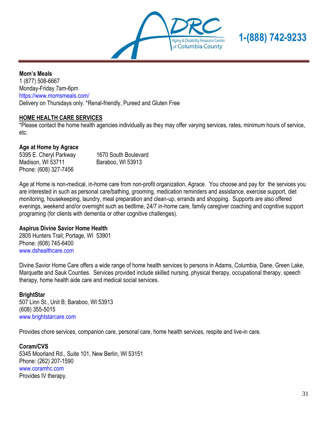

**Mom's Meals** 1 (877) 508-6667 Monday-Friday 7am-6pm <https://www.momsmeals.com/> Delivery on Thursdays only. \*Renal-friendly, Pureed and Gluten Free

### **HOME HEALTH CARE SERVICES**

\*Please contact the home health agencies individually as they may offer varying services, rates, minimum hours of service, etc.

### **Age at Home by Agrace**

5395 E. Cheryl Parkway 1670 South Boulevard Madison, WI 53711 Baraboo, WI 53913 Phone: (608) 327-7456

Age at Home is non-medical, in-home care from non-profit organization, Agrace. You choose and pay for the services you are interested in such as personal care/bathing, grooming, medication reminders and assistance, exercise support, diet monitoring, housekeeping, laundry, meal preparation and clean-up, errands and shopping. Supports are also offered evenings, weekend and/or overnight such as bedtime, 24/7 in-home care, family caregiver coaching and cognitive support programing (for clients with dementia or other cognitive challenges).

### **Aspirus Divine Savior Home Health**

2805 Hunters Trail; Portage, WI 53901 Phone: (608) 745-6400 [www.dshealthcare.com](http://www.dshealthcare.com/)

Divine Savior Home Care offers a wide range of home health services to persons in Adams, Columbia, Dane, Green Lake, Marquette and Sauk Counties. Services provided include skilled nursing, physical therapy, occupational therapy, speech therapy, home health aide care and medical social services.

### **BrightStar**

507 Linn St., Unit B; Baraboo, WI 53913 (608) 355-5015 [www.brightstarcare.com](http://www.brightstarcare.com/) 

Provides chore services, companion care, personal care, home health services, respite and live-in care.

### **Coram/CVS**

5345 Moorland Rd., Suite 101, New Berlin, WI 53151 Phone: (262) 207-1590 [www.coramhc.com](http://www.coramhc.com/) Provides IV therapy.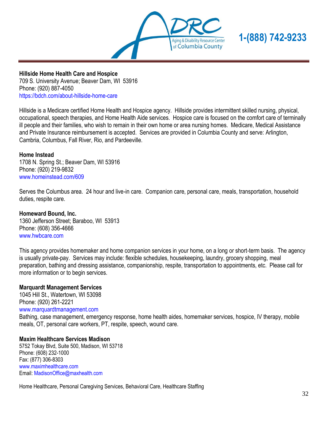

### **Hillside Home Health Care and Hospice**

709 S. University Avenue; Beaver Dam, WI 53916 Phone: (920) 887-4050 <https://bdch.com/about-hillside-home-care>

Hillside is a Medicare certified Home Health and Hospice agency. Hillside provides intermittent skilled nursing, physical, occupational, speech therapies, and Home Health Aide services. Hospice care is focused on the comfort care of terminally ill people and their families, who wish to remain in their own home or area nursing homes. Medicare, Medical Assistance and Private Insurance reimbursement is accepted. Services are provided in Columbia County and serve: Arlington, Cambria, Columbus, Fall River, Rio, and Pardeeville.

### **Home Instead**

1708 N. Spring St.; Beaver Dam, WI 53916 Phone: (920) 219-9832 [www.homeinstead.com/609](http://www.homeinstead.com/609)

Serves the Columbus area. 24 hour and live-in care. Companion care, personal care, meals, transportation, household duties, respite care.

### **Homeward Bound, Inc.**

1360 Jefferson Street; Baraboo, WI 53913 Phone: (608) 356-4666 [www.hwbcare.com](http://www.hwbcare.com/)

This agency provides homemaker and home companion services in your home, on a long or short-term basis. The agency is usually private-pay. Services may include: flexible schedules, housekeeping, laundry, grocery shopping, meal preparation, bathing and dressing assistance, companionship, respite, transportation to appointments, etc. Please call for more information or to begin services.

### **Marquardt Management Services**

1045 Hill St., Watertown, WI 53098 Phone: (920) 261-2221 [www.marquardtmanagement.com](http://www.marquardtmanagement.com/)

Bathing, case management, emergency response, home health aides, homemaker services, hospice, IV therapy, mobile meals, OT, personal care workers, PT, respite, speech, wound care.

### **Maxim Healthcare Services Madison**

5752 Tokay Blvd, Suite 500, Madison, WI 53718 Phone: (608) 232-1000 Fax: (877) 306-8303 [www.maximhealthcare.com](http://www.maximhealthcare.com/) Email[: MadisonOffice@maxhealth.com](mailto:MadisonOffice@maxhealth.com)

Home Healthcare, Personal Caregiving Services, Behavioral Care, Healthcare Staffing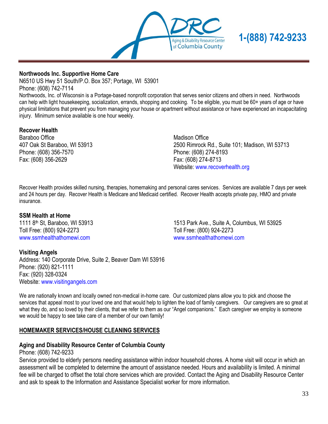

### **Northwoods Inc. Supportive Home Care**

N6510 US Hwy 51 South/P.O. Box 357; Portage, WI 53901 Phone: (608) 742-7114

Northwoods, Inc. of Wisconsin is a Portage-based nonprofit corporation that serves senior citizens and others in need. Northwoods can help with light housekeeping, socialization, errands, shopping and cooking. To be eligible, you must be 60+ years of age or have physical limitations that prevent you from managing your house or apartment without assistance or have experienced an incapacitating injury. Minimum service available is one hour weekly.

### **Recover Health**

Baraboo Office 407 Oak St Baraboo, WI 53913 Phone: (608) 356-7570 Fax: (608) 356-2629

Madison Office 2500 Rimrock Rd., Suite 101; Madison, WI 53713 Phone: (608) 274-8193 Fax: (608) 274-8713 Website: [www.recoverhealth.org](http://www.recoverhealth.org/)

**1-(888) 742-9233**

Recover Health provides skilled nursing, therapies, homemaking and personal cares services. Services are available 7 days per week and 24 hours per day. Recover Health is Medicare and Medicaid certified. Recover Health accepts private pay, HMO and private insurance.

### **SSM Health at Home**

1111 8th St, Baraboo, WI 53913 Toll Free: (800) 924-2273 [www.ssmhealthathomewi.com](http://www.ssmhealthathomewi.com/)

1513 Park Ave., Suite A, Columbus, WI 53925 Toll Free: (800) 924-2273 [www.ssmhealthathomewi.com](http://www.ssmhealthathomewi.com/)

### **Visiting Angels**

Address: 140 Corporate Drive, Suite 2, Beaver Dam WI 53916 Phone: (920) 821-1111 Fax: (920) 328-0324 Website: [www.visitingangels.com](http://www.visitingangels.com/)

We are nationally known and locally owned non-medical in-home care. Our customized plans allow you to pick and choose the services that appeal most to your loved one and that would help to lighten the load of family caregivers. Our caregivers are so great at what they do, and so loved by their clients, that we refer to them as our "Angel companions." Each caregiver we employ is someone we would be happy to see take care of a member of our own family!

### <span id="page-33-0"></span>**HOMEMAKER SERVICES/HOUSE CLEANING SERVICES**

### **Aging and Disability Resource Center of Columbia County**

Phone: (608) 742-9233

Service provided to elderly persons needing assistance within indoor household chores. A home visit will occur in which an assessment will be completed to determine the amount of assistance needed. Hours and availability is limited. A minimal fee will be charged to offset the total chore services which are provided. Contact the Aging and Disability Resource Center and ask to speak to the Information and Assistance Specialist worker for more information.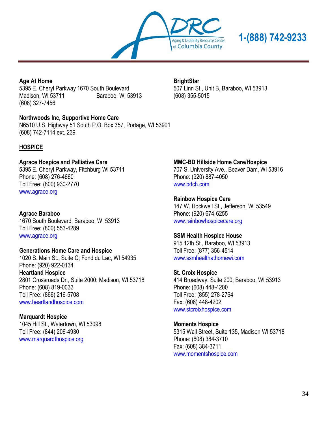

**Age At Home** 5395 E. Cheryl Parkway 1670 South Boulevard Madison, WI 53711 Baraboo, WI 53913 (608) 327-7456

**Northwoods Inc, Supportive Home Care** N6510 U.S. Highway 51 South P.O. Box 357, Portage, WI 53901 (608) 742-7114 ext. 239

### <span id="page-34-0"></span>**HOSPICE**

### **Agrace Hospice and Palliative Care**

5395 E. Cheryl Parkway, Fitchburg WI 53711 Phone: (608) 276-4660 Toll Free: (800) 930-2770 [www.agrace.org](http://www.agrace.org/)

**Agrace Baraboo** 1670 South Boulevard; Baraboo, WI 53913 Toll Free: (800) 553-4289 [www.agrace.org](http://www.agrace.org/)

### **Generations Home Care and Hospice**

1020 S. Main St., Suite C; Fond du Lac, WI 54935 Phone: (920) 922-0134

**Heartland Hospice**  2801 Crossroads Dr., Suite 2000; Madison, WI 53718 Phone: (608) 819-0033 Toll Free: (866) 216-5708 [www.heartlandhospice.com](http://www.heartlandhospice.com/)

### **Marquardt Hospice**

1045 Hill St., Watertown, WI 53098 Toll Free: (844) 206-4930 [www.marquardthospice.org](http://www.marquardthospice.org/)

**BrightStar**

507 Linn St., Unit B, Baraboo, WI 53913 (608) 355-5015

### **MMC-BD Hillside Home Care/Hospice**

707 S. University Ave., Beaver Dam, WI 53916 Phone: (920) 887-4050 [www.bdch.com](http://www.bdch.com/)

### **Rainbow Hospice Care**

147 W. Rockwell St., Jefferson, WI 53549 Phone: (920) 674-6255 [www.rainbowhospicecare.org](http://www.rainbowhospicecare.org/)

#### **SSM Health Hospice House**

915 12th St., Baraboo, WI 53913 Toll Free: (877) 356-4514 [www.ssmhealthathomewi.com](http://www.ssmhealthathomewi.com/)

### **St. Croix Hospice**

414 Broadway, Suite 200; Baraboo, WI 53913 Phone: (608) 448-4200 Toll Free: (855) 278-2764 Fax: (608) 448-4202 [www.stcroixhospice.com](http://www.stcroixhospice.com/)

### **Moments Hospice**

<span id="page-34-1"></span>5315 Wall Street, Suite 135, Madison WI 53718 Phone: (608) 384-3710 Fax: (608) 384-3711 [www.momentshospice.com](http://www.momentshospice.com/)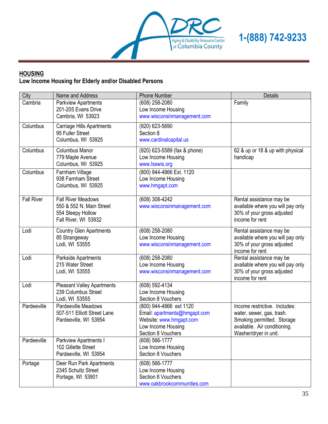

### **HOUSING Low Income Housing for Elderly and/or Disabled Persons**

| City              | Name and Address                 | <b>Phone Number</b>          | <b>Details</b>                                |
|-------------------|----------------------------------|------------------------------|-----------------------------------------------|
| Cambria           | Parkview Apartments              | (608) 258-2080               | Family                                        |
|                   | 201-205 Evans Drive              | Low Income Housing           |                                               |
|                   | Cambria, WI 53923                | www.wisconsinmanagement.com  |                                               |
| Columbus          | <b>Carriage Hills Apartments</b> | (920) 623-5690               |                                               |
|                   | 95 Fuller Street                 | Section 8                    |                                               |
|                   | Columbus, WI 53925               | www.cardinalcapital.us       |                                               |
| Columbus          | Columbus Manor                   | (920) 623-5589 (fax & phone) | 62 & up or 18 & up with physical              |
|                   | 779 Maple Avenue                 | Low Income Housing           | handicap                                      |
|                   | Columbus, WI 53925               | www.lsswis.org               |                                               |
| Columbus          | Farnham Village                  | (800) 944-4866 Ext. 1120     |                                               |
|                   | 938 Farnham Street               | Low Income Housing           |                                               |
|                   | Columbus, WI 53925               | www.hmgapt.com               |                                               |
| <b>Fall River</b> | <b>Fall River Meadows</b>        | (608) 308-4242               | Rental assistance may be                      |
|                   | 550 & 552 N. Main Street         | www.wisconsinmanagement.com  | available where you will pay only             |
|                   | 554 Sleepy Hollow                |                              | 30% of your gross adjusted                    |
|                   | Fall River, WI 53932             |                              | income for rent                               |
| Lodi              | <b>Country Glen Apartments</b>   | $(608)$ 258-2080             | Rental assistance may be                      |
|                   | 85 Strangeway                    | Low Income Housing           | available where you will pay only             |
|                   | Lodi, WI 53555                   | www.wisconsinmanagement.com  | 30% of your gross adjusted                    |
|                   |                                  |                              | income for rent                               |
| Lodi              | Parkside Apartments              | (608) 258-2080               | Rental assistance may be                      |
|                   | 215 Water Street                 | Low Income Housing           | available where you will pay only             |
|                   | Lodi, WI 53555                   | www.wisconsinmanagement.com  | 30% of your gross adjusted<br>income for rent |
| Lodi              | Pleasant Valley Apartments       | (608) 592-4134               |                                               |
|                   | 239 Columbus Street              | Low Income Housing           |                                               |
|                   | Lodi, WI 53555                   | Section 8 Vouchers           |                                               |
| Pardeeville       | <b>Pardeeville Meadows</b>       | (800) 944-4866 ext 1120      | Income restrictive. Includes:                 |
|                   | 507-511 Elliott Street Lane      | Email: apartments@hmgapt.com | water, sewer, gas, trash.                     |
|                   | Pardeeville, WI 53954            | Website: www.hmgapt.com      | Smoking permitted. Storage                    |
|                   |                                  | Low Income Housing           | available. Air conditioning.                  |
|                   |                                  | Section 8 Vouchers           | Washer/dryer in unit.                         |
| Pardeeville       | Parkview Apartments I            | (608) 566-1777               |                                               |
|                   | 102 Gillette Street              | Low Income Housing           |                                               |
|                   | Pardeeville, WI 53954            | Section 8 Vouchers           |                                               |
| Portage           | Deer Run Park Apartments         | (608) 566-1777               |                                               |
|                   | 2345 Schultz Street              | Low Income Housing           |                                               |
|                   | Portage, WI 53901                | Section 8 Vouchers           |                                               |
|                   |                                  | www.oakbrookcommunities.com  |                                               |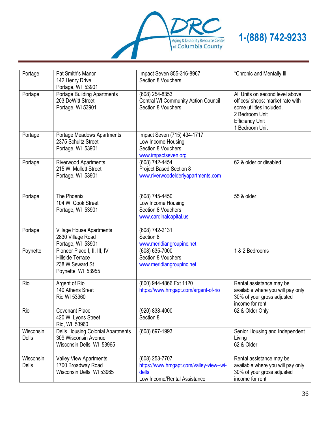

| Portage                   | Pat Smith's Manor<br>142 Henry Drive<br>Portage, WI 53901                                     | Impact Seven 855-316-8967<br>Section 8 Vouchers                                                    | *Chronic and Mentally III                                                                                                                                     |
|---------------------------|-----------------------------------------------------------------------------------------------|----------------------------------------------------------------------------------------------------|---------------------------------------------------------------------------------------------------------------------------------------------------------------|
| Portage                   | <b>Portage Building Apartments</b><br>203 DeWitt Street<br>Portage, WI 53901                  | (608) 254-8353<br><b>Central WI Community Action Council</b><br>Section 8 Vouchers                 | All Units on second level above<br>offices/ shops: market rate with<br>some utilities included.<br>2 Bedroom Unit<br><b>Efficiency Unit</b><br>1 Bedroom Unit |
| Portage                   | Portage Meadows Apartments<br>2375 Schultz Street<br>Portage, WI 53901                        | Impact Seven (715) 434-1717<br>Low Income Housing<br>Section 8 Vouchers<br>www.impactseven.org     |                                                                                                                                                               |
| Portage                   | Riverwood Apartments<br>215 W. Mullett Street<br>Portage, WI 53901                            | (608) 742-4454<br>Project Based Section 8<br>www.riverwoodelderlyapartments.com                    | 62 & older or disabled                                                                                                                                        |
| Portage                   | The Phoenix<br>104 W. Cook Street<br>Portage, WI 53901                                        | (608) 745-4450<br>Low Income Housing<br>Section 8 Vouchers<br>www.cardinalcapital.us               | 55 & older                                                                                                                                                    |
| Portage                   | <b>Village House Apartments</b><br>2830 Village Road<br>Portage, WI 53901                     | (608) 742-2131<br>Section 8<br>www.meridiangroupinc.net                                            |                                                                                                                                                               |
| Poynette                  | Pioneer Place I, II, III, IV<br>Hillside Terrace<br>238 W Seward St<br>Poynette, WI 53955     | (608) 635-7000<br>Section 8 Vouchers<br>www.meridiangroupinc.net                                   | 1 & 2 Bedrooms                                                                                                                                                |
| Rio                       | Argent of Rio<br>140 Athens Sreet<br>Rio WI 53960                                             | (800) 944-4866 Ext 1120<br>https://www.hmgapt.com/argent-of-rio                                    | Rental assistance may be<br>available where you will pay only<br>30% of your gross adjusted<br>income for rent                                                |
| Rio                       | <b>Covenant Place</b><br>420 W. Lyons Street<br>Rio, WI 53960                                 | (920) 838-4000<br>Section 8                                                                        | 62 & Older Only                                                                                                                                               |
| Wisconsin<br><b>Dells</b> | <b>Dells Housing Colonial Apartments</b><br>309 Wisconsin Avenue<br>Wisconsin Dells, WI 53965 | (608) 697-1993                                                                                     | Senior Housing and Independent<br>Living<br>62 & Older                                                                                                        |
| Wisconsin<br>Dells        | <b>Valley View Apartments</b><br>1700 Broadway Road<br>Wisconsin Dells, WI 53965              | (608) 253-7707<br>https://www.hmgapt.com/valley-view--wi-<br>dells<br>Low Income/Rental Assistance | Rental assistance may be<br>available where you will pay only<br>30% of your gross adjusted<br>income for rent                                                |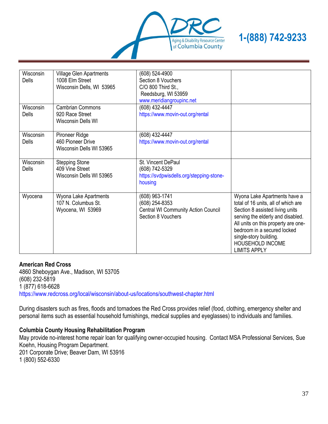

| Wisconsin<br><b>Dells</b> | <b>Village Glen Apartments</b><br>1008 Elm Street<br>Wisconsin Dells, WI 53965 | (608) 524-4900<br>Section 8 Vouchers<br>C/O 800 Third St.,<br>Reedsburg, WI 53959<br>www.meridiangroupinc.net |                                                                                                                                                                                                                                                                                        |
|---------------------------|--------------------------------------------------------------------------------|---------------------------------------------------------------------------------------------------------------|----------------------------------------------------------------------------------------------------------------------------------------------------------------------------------------------------------------------------------------------------------------------------------------|
| Wisconsin<br>Dells        | <b>Cambrian Commons</b><br>920 Race Street<br>Wisconsin Dells WI               | (608) 432-4447<br>https://www.movin-out.org/rental                                                            |                                                                                                                                                                                                                                                                                        |
| Wisconsin<br><b>Dells</b> | Pironeer Ridge<br>460 Pioneer Drive<br>Wisconsin Dells WI 53965                | (608) 432-4447<br>https://www.movin-out.org/rental                                                            |                                                                                                                                                                                                                                                                                        |
| Wisconsin<br><b>Dells</b> | <b>Stepping Stone</b><br>409 Vine Street<br>Wisconsin Dells WI 53965           | St. Vincent DePaul<br>(608) 742-5329<br>https://svdpwisdells.org/stepping-stone-<br>housing                   |                                                                                                                                                                                                                                                                                        |
| Wyocena                   | Wyona Lake Apartments<br>107 N. Columbus St.<br>Wyocena, WI 53969              | (608) 963-1741<br>(608) 254-8353<br><b>Central WI Community Action Council</b><br>Section 8 Vouchers          | Wyona Lake Apartments have a<br>total of 16 units, all of which are<br>Section 8 assisted living units<br>serving the elderly and disabled.<br>All units on this property are one-<br>bedroom in a secured locked<br>single-story building.<br>HOUSEHOLD INCOME<br><b>LIMITS APPLY</b> |

### **American Red Cross**

4860 Sheboygan Ave., Madison, WI 53705 (608) 232-5819 1 (877) 618-6628 <https://www.redcross.org/local/wisconsin/about-us/locations/southwest-chapter.html>

During disasters such as fires, floods and tornadoes the Red Cross provides relief (food, clothing, emergency shelter and personal items such as essential household furnishings, medical supplies and eyeglasses) to individuals and families.

### **Columbia County Housing Rehabilitation Program**

May provide no-interest home repair loan for qualifying owner-occupied housing. Contact MSA Professional Services, Sue Koehn, Housing Program Department. 201 Corporate Drive; Beaver Dam, WI 53916 1 (800) 552-6330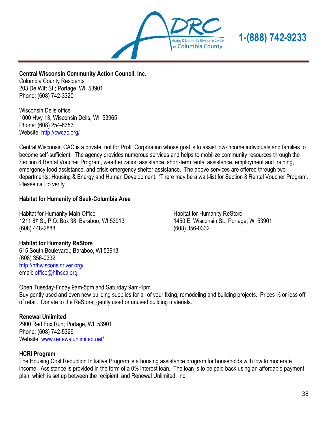

**Central Wisconsin Community Action Council, Inc.** Columbia County Residents 203 De Witt St.; Portage, WI 53901 Phone: (608) 742-3320

Wisconsin Dells office 1000 Hwy 13, Wisconsin Dells, WI 53965 Phone: (608) 254-8353 Website:<http://cwcac.org/>

Central Wisconsin CAC is a private, not for Profit Corporation whose goal is to assist low-income individuals and families to become self-sufficient. The agency provides numerous services and helps to mobilize community resources through the Section 8 Rental Voucher Program, weatherization assistance, short-term rental assistance, employment and training, emergency food assistance, and crisis emergency shelter assistance. The above services are offered through two departments: Housing & Energy and Human Development. \*There may be a wait-list for Section 8 Rental Voucher Program. Please call to verify.

### **Habitat for Humanity of Sauk-Columbia Area**

Habitat for Humanity Main Office 1211 8th St, P.O. Box 38; Baraboo, WI 53913 (608) 448-2888

Habitat for Humanity ReStore 1450 E. Wisconsin St., Portage, WI 53901 (608) 356-0332

### **Habitat for Humanity ReStore**

615 South Boulevard.; Baraboo, WI 53913 (608) 356-0332 <http://hfhwisconsinriver.org/> email: [office@hfhsca.org](mailto:office@hfhsca.org)

Open Tuesday-Friday 9am-5pm and Saturday 9am-4pm.

Buy gently used and even new building supplies for all of your fixing, remodeling and building projects. Prices 1/2 or less off of retail. Donate to the ReStore, gently used or unused building materials.

### **Renewal Unlimited**

2900 Red Fox Run; Portage, WI 53901 Phone: (608) 742-5329 Website: [www.renewalunlimited.net/](http://www.renewalunlimited.net/)

### **HCRI Program**

The Housing Cost Reduction Initiative Program is a housing assistance program for households with low to moderate income. Assistance is provided in the form of a 0% interest loan. The loan is to be paid back using an affordable payment plan, which is set up between the recipient, and Renewal Unlimited, Inc.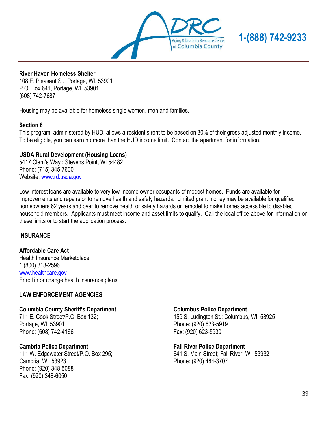

**River Haven Homeless Shelter** 108 E. Pleasant St., Portage, WI. 53901

P.O. Box 641, Portage, WI. 53901 (608) 742-7687

Housing may be available for homeless single women, men and families.

### **Section 8**

This program, administered by HUD, allows a resident's rent to be based on 30% of their gross adjusted monthly income. To be eligible, you can earn no more than the HUD income limit. Contact the apartment for information.

### **USDA Rural Development (Housing Loans)**

5417 Clem's Way ; Stevens Point, WI 54482 Phone: (715) 345-7600 Website: [www.rd.usda.gov](http://www.rd.usda.gov/)

Low interest loans are available to very low-income owner occupants of modest homes. Funds are available for improvements and repairs or to remove health and safety hazards. Limited grant money may be available for qualified homeowners 62 years and over to remove health or safety hazards or remodel to make homes accessible to disabled household members. Applicants must meet income and asset limits to qualify. Call the local office above for information on these limits or to start the application process.

### <span id="page-39-0"></span>**INSURANCE**

**Affordable Care Act** Health Insurance Marketplace 1 (800) 318-2596 [www.healthcare.gov](http://www.healthcare.gov/) Enroll in or change health insurance plans.

### **LAW ENFORCEMENT AGENCIES**

### **Columbia County Sheriff's Department**

711 E. Cook Street/P.O. Box 132; Portage, WI 53901 Phone: (608) 742-4166

### **Cambria Police Department**

111 W. Edgewater Street/P.O. Box 295; Cambria, WI 53923 Phone: (920) 348-5088 Fax: (920) 348-6050

### <span id="page-39-1"></span>**Columbus Police Department**

159 S. Ludington St.; Columbus, WI 53925 Phone: (920) 623-5919 Fax: (920) 623-5930

### **Fall River Police Department**

641 S. Main Street; Fall River, WI 53932 Phone: (920) 484-3707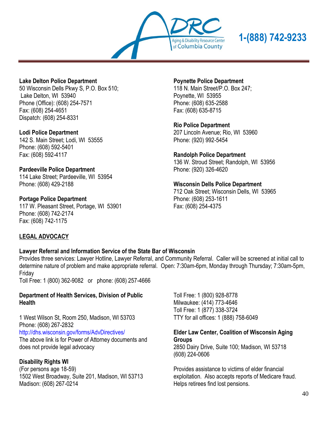

### **Lake Delton Police Department**

50 Wisconsin Dells Pkwy S, P.O. Box 510; Lake Delton, WI 53940 Phone (Office): (608) 254-7571 Fax: (608) 254-4651 Dispatch: (608) 254-8331

#### **Lodi Police Department**

142 S. Main Street; Lodi, WI 53555 Phone: (608) 592-5401 Fax: (608) 592-4117

#### **Pardeeville Police Department**

114 Lake Street; Pardeeville, WI 53954 Phone: (608) 429-2188

#### **Portage Police Department**

117 W. Pleasant Street, Portage, WI 53901 Phone: (608) 742-2174 Fax: (608) 742-1175

### <span id="page-40-0"></span>**LEGAL ADVOCACY**

### **Poynette Police Department**

118 N. Main Street/P.O. Box 247; Poynette, WI 53955 Phone: (608) 635-2588 Fax: (608) 635-8715

#### **Rio Police Department**

207 Lincoln Avenue; Rio, WI 53960 Phone: (920) 992-5454

#### **Randolph Police Department**

136 W. Stroud Street; Randolph, WI 53956 Phone: (920) 326-4620

#### **Wisconsin Dells Police Department**

712 Oak Street; Wisconsin Dells, WI 53965 Phone: (608) 253-1611 Fax: (608) 254-4375

#### **Lawyer Referral and Information Service of the State Bar of Wisconsin**

Provides three services: Lawyer Hotline, Lawyer Referral, and Community Referral. Caller will be screened at initial call to determine nature of problem and make appropriate referral. Open: 7:30am-6pm, Monday through Thursday; 7:30am-5pm, Friday

Toll Free: 1 (800) 362-9082 or phone: (608) 257-4666

#### **Department of Health Services, Division of Public Health**

1 West Wilson St, Room 250, Madison, WI 53703 Phone: (608) 267-2832 <http://dhs.wisconsin.gov/forms/AdvDirectives/> The above link is for Power of Attorney documents and does not provide legal advocacy

#### **Disability Rights WI**

(For persons age 18-59) 1502 West Broadway, Suite 201, Madison, WI 53713 Madison: (608) 267-0214

Toll Free: 1 (800) 928-8778 Milwaukee: (414) 773-4646 Toll Free: 1 (877) 338-3724 TTY for all offices: 1 (888) 758-6049

### **Elder Law Center, Coalition of Wisconsin Aging Groups**

2850 Dairy Drive, Suite 100; Madison, WI 53718 (608) 224-0606

Provides assistance to victims of elder financial exploitation. Also accepts reports of Medicare fraud. Helps retirees find lost pensions.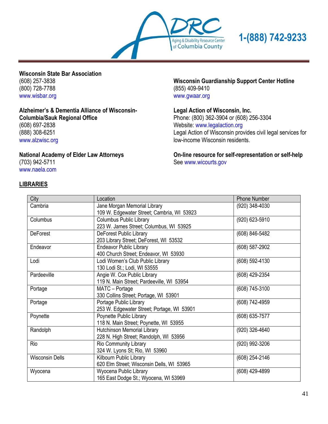

### **Wisconsin State Bar Association** (608) 257-3838 (800) 728-7788 [www.wisbar.org](http://www.wisbar.org/)

**Alzheimer's & Dementia Alliance of Wisconsin-Columbia/Sauk Regional Office** (608) 697-2838 (888) 308-6251 [www.alzwisc.org](http://www.alzwisc.org/)

**National Academy of Elder Law Attorneys** (703) 942-5711 [www.naela.com](http://www.naela.com/)

<span id="page-41-0"></span>**LIBRARIES**

**Wisconsin Guardianship Support Center Hotline**  (855) 409-9410 [www.gwaar.org](http://www.gwaar.org/)

**Legal Action of Wisconsin, Inc.** Phone: (800) 362-3904 or (608) 256-3304 Website: [www.legalaction.org](http://www.legalaction.org/) Legal Action of Wisconsin provides civil legal services for low-income Wisconsin residents.

**On-line resource for self-representation or self-help** See [www.wicourts.gov](http://www.wicourts.gov/)

<span id="page-41-1"></span>

| City                   | Location                                   | <b>Phone Number</b> |
|------------------------|--------------------------------------------|---------------------|
| Cambria                | Jane Morgan Memorial Library               | (920) 348-4030      |
|                        | 109 W. Edgewater Street; Cambria, WI 53923 |                     |
| Columbus               | <b>Columbus Public Library</b>             | (920) 623-5910      |
|                        | 223 W. James Street; Columbus, WI 53925    |                     |
| <b>DeForest</b>        | DeForest Public Library                    | (608) 846-5482      |
|                        | 203 Library Street; DeForest, WI 53532     |                     |
| Endeavor               | <b>Endeavor Public Library</b>             | (608) 587-2902      |
|                        | 400 Church Street; Endeavor, WI 53930      |                     |
| Lodi                   | Lodi Women's Club Public Library           | (608) 592-4130      |
|                        | 130 Lodi St.; Lodi, WI 53555               |                     |
| Pardeeville            | Angie W. Cox Public Library                | (608) 429-2354      |
|                        | 119 N. Main Street; Pardeeville, WI 53954  |                     |
| Portage                | MATC - Portage                             | (608) 745-3100      |
|                        | 330 Collins Street; Portage, WI 53901      |                     |
| Portage                | Portage Public Library                     | (608) 742-4959      |
|                        | 253 W. Edgewater Street; Portage, WI 53901 |                     |
| Poynette               | Poynette Public Library                    | (608) 635-7577      |
|                        | 118 N. Main Street; Poynette, WI 53955     |                     |
| Randolph               | Hutchinson Memorial Library                | (920) 326-4640      |
|                        | 228 N. High Street; Randolph, WI 53956     |                     |
| Rio                    | Rio Community Library                      | (920) 992-3206      |
|                        | 324 W. Lyons St; Rio, WI 53960             |                     |
| <b>Wisconsin Dells</b> | Kilbourn Public Library                    | (608) 254-2146      |
|                        | 620 Elm Street; Wisconsin Dells, WI 53965  |                     |
| Wyocena                | Wyocena Public Library                     | (608) 429-4899      |
|                        | 165 East Dodge St.; Wyocena, WI 53969      |                     |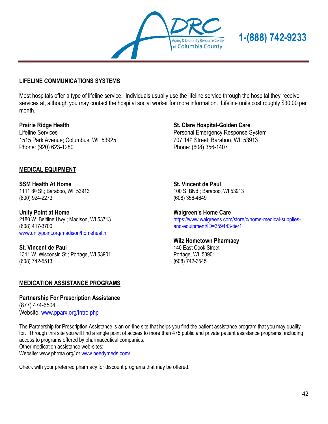

### **LIFELINE COMMUNICATIONS SYSTEMS**

Most hospitals offer a type of lifeline service. Individuals usually use the lifeline service through the hospital they receive services at, although you may contact the hospital social worker for more information. Lifeline units cost roughly \$30.00 per month.

**Prairie Ridge Health** Lifeline Services 1515 Park Avenue; Columbus, WI 53925 Phone: (920) 623-1280

### <span id="page-42-0"></span>**MEDICAL EQUIPMENT**

**SSM Health At Home** 1111 8th St.; Baraboo, WI. 53913 (800) 924-2273

**Unity Point at Home** 2180 W. Beltline Hwy.; Madison, WI 53713 (608) 417-3700 [www.unitypoint.org/madison/homehealth](http://www.unitypoint.org/madison/homehealth)

**St. Vincent de Paul** 1311 W. Wisconsin St.; Portage, WI 53901 (608) 742-5513

### <span id="page-42-1"></span>**MEDICATION ASSISTANCE PROGRAMS**

**Partnership For Prescription Assistance** (877) 474-6504 Website: [www.pparx.org/Intro.php](http://www.pparx.org/Intro.php)

**St. Clare Hospital-Golden Care** Personal Emergency Response System 707 14th Street; Baraboo, WI 53913 Phone: (608) 356-1407

**St. Vincent de Paul** 100 S. Blvd.; Baraboo, WI 53913 (608) 356-4649

**Walgreen's Home Care** [https://www.walgreens.com/store/c/home-medical-supplies](https://www.walgreens.com/store/c/home-medical-supplies-and-equipment/ID=359443-tier1)[and-equipment/ID=359443-tier1](https://www.walgreens.com/store/c/home-medical-supplies-and-equipment/ID=359443-tier1)

#### **Wilz Hometown Pharmacy**

<span id="page-42-2"></span>140 East Cook Street Portage, WI. 53901 (608) 742-3545

The Partnership for Prescription Assistance is an on-line site that helps you find the patient assistance program that you may qualify for. Through this site you will find a single point of access to more than 475 public and private patient assistance programs, including access to programs offered by pharmaceutical companies. Other medication assistance web-sites:

Website: www.phrma.org/ or [www.needymeds.com/](http://www.needymeds.com/)

Check with your preferred pharmacy for discount programs that may be offered.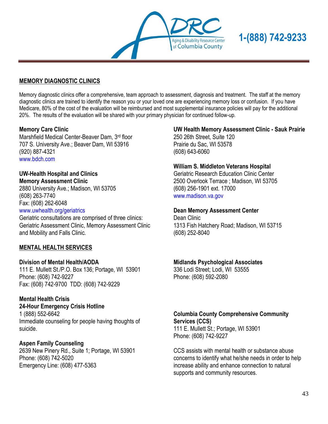

### **MEMORY DIAGNOSTIC CLINICS**

Memory diagnostic clinics offer a comprehensive, team approach to assessment, diagnosis and treatment. The staff at the memory diagnostic clinics are trained to identify the reason you or your loved one are experiencing memory loss or confusion. If you have Medicare, 80% of the cost of the evaluation will be reimbursed and most supplemental insurance policies will pay for the additional 20%. The results of the evaluation will be shared with your primary physician for continued follow-up.

### **Memory Care Clinic**

Marshfield Medical Center-Beaver Dam, 3rd floor 707 S. University Ave.; Beaver Dam, WI 53916 (920) 887-4321 [www.bdch.com](http://www.bdch.com/)

### **UW-Health Hospital and Clinics**

**Memory Assessment Clinic** 2880 University Ave.; Madison, WI 53705 (608) 263-7740 Fax: (608) 262-6048 [www.uwhealth.org/geriatrics](http://www.uwhealth.org/geriatrics)

Geriatric consultations are comprised of three clinics: Geriatric Assessment Clinic, Memory Assessment Clinic and Mobility and Falls Clinic.

### **MENTAL HEALTH SERVICES**

### **Division of Mental Health/AODA**

111 E. Mullett St./P.O. Box 136; Portage, WI 53901 Phone: (608) 742-9227 Fax: (608) 742-9700 TDD: (608) 742-9229

### <span id="page-43-1"></span>**Mental Health Crisis**

**24-Hour Emergency Crisis Hotline** 1 (888) 552-6642 Immediate counseling for people having thoughts of suicide.

### **Aspen Family Counseling**

2639 New Pinery Rd., Suite 1; Portage, WI 53901 Phone: (608) 742-5020 Emergency Line: (608) 477-5363

**[UW Health Memory Assessment Clinic -](http://www.uwhealth.org/locations/detail.jsp?locationId=270) Sauk Prairie** 250 26th Street, Suite 120 Prairie du Sac, WI 53578

#### **William S. Middleton Veterans Hospital**

(608) 643-6060

Geriatric Research Education Clinic Center 2500 Overlook Terrace ; Madison, WI 53705 (608) 256-1901 ext. 17000 [www.madison.va.gov](http://www.madison.va.gov/)

#### **Dean Memory Assessment Center**

<span id="page-43-0"></span>Dean Clinic 1313 Fish Hatchery Road; Madison, WI 53715 (608) 252-8040

#### **Midlands Psychological Associates**

336 Lodi Street; Lodi, WI 53555 Phone: (608) 592-2080

### **Columbia County Comprehensive Community Services (CCS)**

111 E. Mullett St.; Portage, WI 53901 Phone: (608) 742-9227

CCS assists with mental health or substance abuse concerns to identify what he/she needs in order to help increase ability and enhance connection to natural supports and community resources.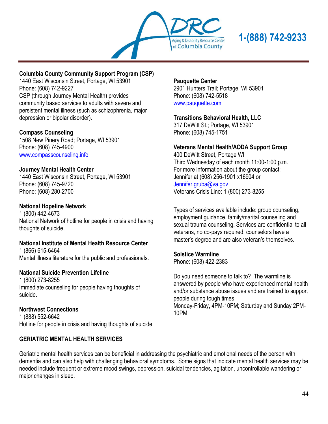

### **Columbia County Community Support Program (CSP)**

1440 East Wisconsin Street, Portage, WI 53901 Phone: (608) 742-9227 CSP (through Journey Mental Health) provides community based services to adults with severe and persistent mental illness (such as schizophrenia, major depression or bipolar disorder).

### **Compass Counseling**

1508 New Pinery Road; Portage, WI 53901 Phone: (608) 745-4900 [www.compasscounseling.info](http://www.compasscounseling.info/)

### **Journey Mental Health Center**

1440 East Wisconsin Street, Portage, WI 53901 Phone: (608) 745-9720 Phone: (608) 280-2700

### **National Hopeline Network**

1 (800) 442-4673 National Network of hotline for people in crisis and having thoughts of suicide.

### **National Institute of Mental Health Resource Center**

1 (866) 615-6464 Mental illness literature for the public and professionals.

### **National Suicide Prevention Lifeline**

1 (800) 273-8255 Immediate counseling for people having thoughts of suicide.

### **Northwest Connections**

1 (888) 552-6642 Hotline for people in crisis and having thoughts of suicide

### <span id="page-44-0"></span>**GERIATRIC MENTAL HEALTH SERVICES**

### **Pauquette Center**

2901 Hunters Trail; Portage, WI 53901 Phone: (608) 742-5518 [www.pauquette.com](http://www.pauquette.com/)

**Transitions Behavioral Health, LLC** 317 DeWitt St.; Portage, WI 53901 Phone: (608) 745-1751

### **Veterans Mental Health/AODA Support Group**

400 DeWitt Street, Portage WI Third Wednesday of each month 11:00-1:00 p.m. For more information about the group contact: Jennifer at (608) 256-1901 x16904 or [Jennifer.gruba@va.gov](mailto:Jennifer.gruba@va.gov) Veterans Crisis Line: 1 (800) 273-8255

Types of services available include: group counseling, employment guidance, family/marital counseling and sexual trauma counseling. Services are confidential to all veterans, no co-pays required, counselors have a master's degree and are also veteran's themselves.

### **Solstice Warmline**

Phone: (608) 422-2383

Do you need someone to talk to? The warmline is answered by people who have experienced mental health and/or substance abuse issues and are trained to support people during tough times. Monday-Friday, 4PM-10PM; Saturday and Sunday 2PM-10PM

Geriatric mental health services can be beneficial in addressing the psychiatric and emotional needs of the person with dementia and can also help with challenging behavioral symptoms. Some signs that indicate mental health services may be needed include frequent or extreme mood swings, depression, suicidal tendencies, agitation, uncontrollable wandering or major changes in sleep.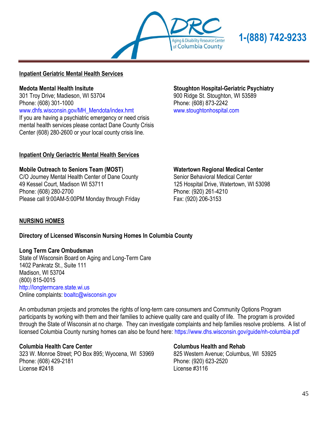

### **Inpatient Geriatric Mental Health Services**

### **Medota Mental Health Insitute**

301 Troy Drive; Madieson, WI 53704 Phone: (608) 301-1000 [www.dhfs.wisconsin.gov/MH\\_Mendota/index.hmt](http://www.dhfs.wisconsin.gov/MH_Mendota/index.hmt) If you are having a psychiatric emergency or need crisis mental health services please contact Dane County Crisis

Center (608) 280-2600 or your local county crisis line.

### **Inpatient Only Geriactric Mental Health Services**

**Mobile Outreach to Seniors Team (MOST)** C/O Journey Mental Health Center of Dane County 49 Kessel Court, Madison WI 53711 Phone: (608) 280-2700 Please call 9:00AM-5:00PM Monday through Friday

### **Stoughton Hospital-Geriatric Psychiatry**

900 Ridge St. Stoughton, WI 53589 Phone: (608) 873-2242 [www.stoughtonhospital.com](http://www.stoughtonhospital.com/)

### **Watertown Regional Medical Center**

Senior Behavioral Medical Center 125 Hospital Drive, Watertown, WI 53098 Phone: (920) 261-4210 Fax: (920) 206-3153

### <span id="page-45-0"></span>**NURSING HOMES**

### **Directory of Licensed Wisconsin Nursing Homes In Columbia County**

### **Long Term Care Ombudsman**

State of Wisconsin Board on Aging and Long-Term Care 1402 Pankratz St., Suite 111 Madison, WI 53704 (800) 815-0015 [http://longtermcare.state.wi.us](http://longtermcare.state.wi.us/) Online complaints: [boaltc@wisconsin.gov](mailto:boaltc@wisconsin.gov)

An ombudsman projects and promotes the rights of long-term care consumers and Community Options Program participants by working with them and their families to achieve quality care and quality of life. The program is provided through the State of Wisconsin at no charge. They can investigate complaints and help families resolve problems. A list of licensed Columbia County nursing homes can also be found here:<https://www.dhs.wisconsin.gov/guide/nh-columbia.pdf>

### **Columbia Health Care Center**

323 W. Monroe Street; PO Box 895; Wyocena, WI 53969 Phone: (608) 429-2181 License #2418

### **Columbus Health and Rehab**

825 Western Avenue; Columbus, WI 53925 Phone: (920) 623-2520 License #3116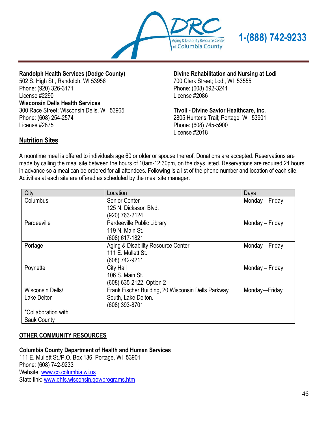



**Randolph Health Services (Dodge County)** 502 S. High St., Randolph, WI 53956 Phone: (920) 326-3171 License #2290 **Wisconsin Dells Health Services** 300 Race Street; Wisconsin Dells, WI 53965 Phone: (608) 254-2574 License #2875

**Divine Rehabilitation and Nursing at Lodi** 700 Clark Street; Lodi, WI 53555 Phone: (608) 592-3241 License #2086

<span id="page-46-0"></span>**Tivoli - Divine Savior Healthcare, Inc.** 2805 Hunter's Trail; Portage, WI 53901 Phone: (608) 745-5900 License #2018

### **Nutrition Sites**

A noontime meal is offered to individuals age 60 or older or spouse thereof. Donations are accepted. Reservations are made by calling the meal site between the hours of 10am-12:30pm, on the days listed. Reservations are required 24 hours in advance so a meal can be ordered for all attendees. Following is a list of the phone number and location of each site. Activities at each site are offered as scheduled by the meal site manager.

| City                | Location                                           | Days            |
|---------------------|----------------------------------------------------|-----------------|
| Columbus            | Senior Center                                      | Monday - Friday |
|                     | 125 N. Dickason Blvd.                              |                 |
|                     | (920) 763-2124                                     |                 |
| Pardeeville         | Pardeeville Public Library                         | Monday - Friday |
|                     | 119 N. Main St.                                    |                 |
|                     | (608) 617-1821                                     |                 |
| Portage             | Aging & Disability Resource Center                 | Monday - Friday |
|                     | 111 E. Mullett St.                                 |                 |
|                     | (608) 742-9211                                     |                 |
| Poynette            | City Hall                                          | Monday - Friday |
|                     | 106 S. Main St.                                    |                 |
|                     | (608) 635-2122, Option 2                           |                 |
| Wisconsin Dells/    | Frank Fischer Building, 20 Wisconsin Dells Parkway | Monday-Friday   |
| Lake Delton         | South, Lake Delton.                                |                 |
|                     | (608) 393-8701                                     |                 |
| *Collaboration with |                                                    |                 |
| <b>Sauk County</b>  |                                                    |                 |

### <span id="page-46-1"></span>**OTHER COMMUNITY RESOURCES**

### **Columbia County Department of Health and Human Services**

<span id="page-46-2"></span>111 E. Mullett St./P.O. Box 136; Portage, WI 53901 Phone: (608) 742-9233 Website: [www.co.columbia.wi.us](http://www.co.columbia.wi.us/) State link: [www.dhfs.wisconsin.gov/programs.htm](http://www.dhfs.wisconsin.gov/programs.htm)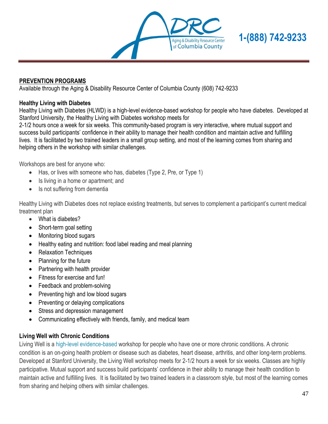

### **PREVENTION PROGRAMS**

Available through the Aging & Disability Resource Center of Columbia County (608) 742-9233

### **Healthy Living with Diabetes**

Healthy Living with Diabetes (HLWD) is a high-level evidence-based workshop for people who have diabetes. Developed at Stanford University, the Healthy Living with Diabetes workshop meets for

2-1/2 hours once a week for six weeks. This community-based program is very interactive, where mutual support and success build participants' confidence in their ability to manage their health condition and maintain active and fulfilling lives. It is facilitated by two trained leaders in a small group setting, and most of the learning comes from sharing and helping others in the workshop with similar challenges.

Workshops are best for anyone who:

- Has, or lives with someone who has, diabetes (Type 2, Pre, or Type 1)
- Is living in a home or apartment; and
- Is not suffering from dementia

Healthy Living with Diabetes does not replace existing treatments, but serves to complement a participant's current medical treatment plan

- What is diabetes?
- Short-term goal setting
- Monitoring blood sugars
- Healthy eating and nutrition: food label reading and meal planning
- Relaxation Techniques
- Planning for the future
- Partnering with health provider
- Fitness for exercise and fun!
- Feedback and problem-solving
- Preventing high and low blood sugars
- Preventing or delaying complications
- Stress and depression management
- Communicating effectively with friends, family, and medical team

### **Living Well with Chronic Conditions**

Living Well is a [high-level evidence-based](https://wihealthyaging.org/about-ebpp) workshop for people who have one or more chronic conditions. A chronic condition is an on-going health problem or disease such as diabetes, heart disease, arthritis, and other long-term problems. Developed at Stanford University, the Living Well workshop meets for 2-1/2 hours a week for six weeks. Classes are highly participative. Mutual support and success build participants' confidence in their ability to manage their health condition to maintain active and fulfilling lives. It is facilitated by two trained leaders in a classroom style, but most of the learning comes from sharing and helping others with similar challenges.

**1-(888) 742-9233**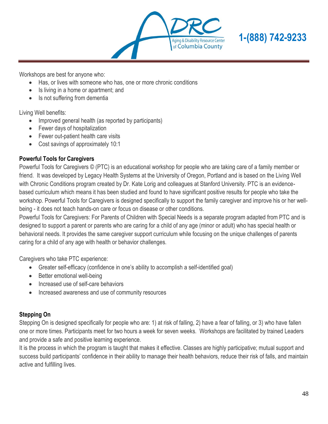**Aging & Disability Resource Center** of Columbia County

### **1-(888) 742-9233**

Workshops are best for anyone who:

- Has, or lives with someone who has, one or more chronic conditions
- Is living in a home or apartment; and
- Is not suffering from dementia

Living Well benefits:

- Improved general health (as reported by participants)
- Fewer days of hospitalization
- Fewer out-patient health care visits
- Cost savings of approximately 10:1

### **Powerful Tools for Caregivers**

Powerful Tools for Caregivers © (PTC) is an educational workshop for people who are taking care of a family member or friend. It was developed by Legacy Health Systems at the University of Oregon, Portland and is based on the Living Well with Chronic Conditions program created by Dr. Kate Lorig and colleagues at Stanford University. PTC is an evidencebased curriculum which means it has been studied and found to have significant positive results for people who take the workshop. Powerful Tools for Caregivers is designed specifically to support the family caregiver and improve his or her wellbeing - it does not teach hands-on care or focus on disease or other conditions.

Powerful Tools for Caregivers: For Parents of Children with Special Needs is a separate program adapted from PTC and is designed to support a parent or parents who are caring for a child of any age (minor or adult) who has special health or behavioral needs. It provides the same caregiver support curriculum while focusing on the unique challenges of parents caring for a child of any age with health or behavior challenges.

Caregivers who take PTC experience:

- Greater self-efficacy (confidence in one's ability to accomplish a self-identified goal)
- Better emotional well-being
- Increased use of self-care behaviors
- Increased awareness and use of community resources

### **Stepping On**

Stepping On is designed specifically for people who are: 1) at risk of falling, 2) have a fear of falling, or 3) who have fallen one or more times. Participants meet for two hours a week for seven weeks. Workshops are facilitated by trained Leaders and provide a safe and positive learning experience.

It is the process in which the program is taught that makes it effective. Classes are highly participative; mutual support and success build participants' confidence in their ability to manage their health behaviors, reduce their risk of falls, and maintain active and fulfilling lives.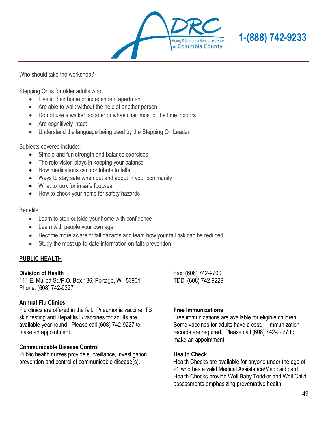

Who should take the workshop?

Stepping On is for older adults who:

- Live in their home or independent apartment
- Are able to walk without the help of another person
- Do not use a walker, scooter or wheelchair most of the time indoors
- Are cognitively intact
- Understand the language being used by the Stepping On Leader

Subjects covered include:

- Simple and fun strength and balance exercises
- The role vision plays in keeping your balance
- How medications can contribute to falls
- Ways to stay safe when out and about in your community
- What to look for in safe footwear
- How to check your home for safety hazards

### Benefits:

- Learn to step outside your home with confidence
- Learn with people your own age
- Become more aware of fall hazards and learn how your fall risk can be reduced
- Study the most up-to-date information on falls prevention

### <span id="page-49-0"></span>**PUBLIC HEALTH**

### **Division of Health**

111 E. Mullett St./P.O. Box 136; Portage, WI 53901 Phone: (608) 742-9227

### **Annual Flu Clinics**

Flu clinics are offered in the fall. Pneumonia vaccine, TB skin testing and Hepatitis B vaccines for adults are available year-round. Please call (608) 742-9227 to make an appointment.

### **Communicable Disease Control**

Public health nurses provide surveillance, investigation, prevention and control of communicable disease(s).

Fax: (608) 742-9700 TDD: (608) 742-9229

### **Free Immunizations**

Free immunizations are available for eligible children. Some vaccines for adults have a cost. Immunization records are required. Please call (608) 742-9227 to make an appointment.

### **Health Check**

Health Checks are available for anyone under the age of 21 who has a valid Medical Assistance/Medicaid card. Health Checks provide Well Baby Toddler and Well Child assessments emphasizing preventative health.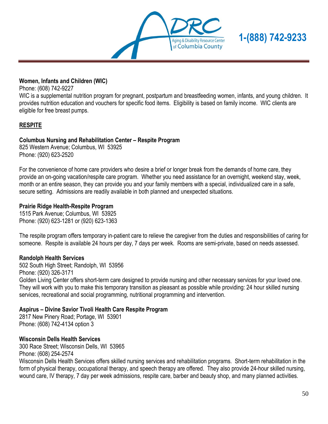

### **Women, Infants and Children (WIC)**

Phone: (608) 742-9227

WIC is a supplemental nutrition program for pregnant, postpartum and breastfeeding women, infants, and young children. It provides nutrition education and vouchers for specific food items. Eligibility is based on family income. WIC clients are eligible for free breast pumps.

### <span id="page-50-0"></span>**RESPITE**

### **Columbus Nursing and Rehabilitation Center – Respite Program**

825 Western Avenue; Columbus, WI 53925 Phone: (920) 623-2520

For the convenience of home care providers who desire a brief or longer break from the demands of home care, they provide an on-going vacation/respite care program. Whether you need assistance for an overnight, weekend stay, week, month or an entire season, they can provide you and your family members with a special, individualized care in a safe, secure setting. Admissions are readily available in both planned and unexpected situations.

### **Prairie Ridge Health-Respite Program**

1515 Park Avenue; Columbus, WI 53925 Phone: (920) 623-1281 or (920) 623-1363

The respite program offers temporary in-patient care to relieve the caregiver from the duties and responsibilities of caring for someone. Respite is available 24 hours per day, 7 days per week. Rooms are semi-private, based on needs assessed.

### **Randolph Health Services**

502 South High Street; Randolph, WI 53956 Phone: (920) 326-3171 Golden Living Center offers short-term care designed to provide nursing and other necessary services for your loved one. They will work with you to make this temporary transition as pleasant as possible while providing: 24 hour skilled nursing services, recreational and social programming, nutritional programming and intervention.

### **Aspirus – Divine Savior Tivoli Health Care Respite Program**

2817 New Pinery Road; Portage, WI 53901 Phone: (608) 742-4134 option 3

### **Wisconsin Dells Health Services**

300 Race Street; Wisconsin Dells, WI 53965 Phone: (608) 254-2574

Wisconsin Dells Health Services offers skilled nursing services and rehabilitation programs. Short-term rehabilitation in the form of physical therapy, occupational therapy, and speech therapy are offered. They also provide 24-hour skilled nursing, wound care, IV therapy, 7 day per week admissions, respite care, barber and beauty shop, and many planned activities.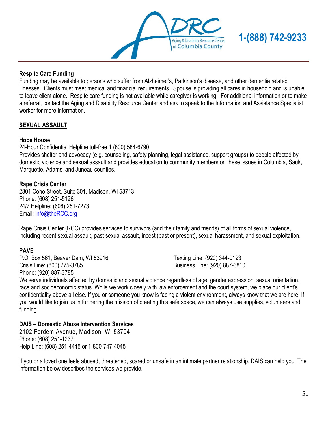

### **Respite Care Funding**

Funding may be available to persons who suffer from Alzheimer's, Parkinson's disease, and other dementia related illnesses. Clients must meet medical and financial requirements. Spouse is providing all cares in household and is unable to leave client alone. Respite care funding is not available while caregiver is working. For additional information or to make a referral, contact the Aging and Disability Resource Center and ask to speak to the Information and Assistance Specialist worker for more information

### <span id="page-51-0"></span>**SEXUAL ASSAULT**

### **Hope House**

24-Hour Confidential Helpline toll-free 1 (800) 584-6790

Provides shelter and advocacy (e.g. counseling, safety planning, legal assistance, support groups) to people affected by domestic violence and sexual assault and provides education to community members on these issues in Columbia, Sauk, Marquette, Adams, and Juneau counties.

### **Rape Crisis Center**

2801 Coho Street, Suite 301, Madison, WI 53713 Phone: (608) 251-5126 24/7 Helpline: (608) 251-7273 Email: [info@theRCC.org](mailto:info@theRCC.org)

Rape Crisis Center (RCC) provides services to survivors (and their family and friends) of all forms of sexual violence, including recent sexual assault, past sexual assault, incest (past or present), sexual harassment, and sexual exploitation.

### **PAVE**

P.O. Box 561, Beaver Dam, WI 53916 Crisis Line: (800) 775-3785 Phone: (920) 887-3785

Texting Line: (920) 344-0123 Business Line: (920) 887-3810

We serve individuals affected by domestic and sexual violence regardless of age, gender expression, sexual orientation, race and socioeconomic status. While we work closely with law enforcement and the court system, we place our client's confidentiality above all else. If you or someone you know is facing a violent environment, always know that we are here. If you would like to join us in furthering the mission of creating this safe space, we can always use supplies, volunteers and funding.

### **DAIS – Domestic Abuse Intervention Services**

2102 Fordem Avenue, Madison, WI 53704 Phone: (608) 251-1237 Help Line: (608) 251-4445 or 1-800-747-4045

If you or a loved one feels abused, threatened, scared or unsafe in an intimate partner relationship, DAIS can help you. The information below describes the services we provide.

**1-(888) 742-9233**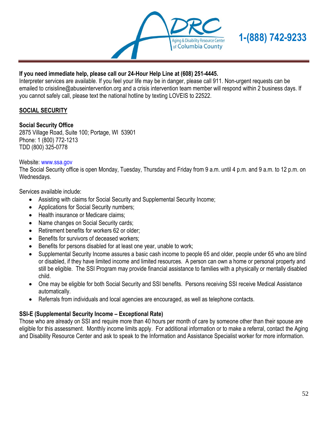

### **If you need immediate help, please call our 24-Hour Help Line at (608) 251-4445.**

Interpreter services are available. If you feel your life may be in danger, please call 911. Non-urgent requests can be emailed to [crisisline@abuseintervention.org](mailto:crisisline@abuseintervention.org) and a crisis intervention team member will respond within 2 business days. If you cannot safely call, please text the national hotline by texting LOVEIS to 22522.

### <span id="page-52-0"></span>**SOCIAL SECURITY**

### **Social Security Office**

2875 Village Road, Suite 100; Portage, WI 53901 Phone: 1 (800) 772-1213 TDD (800) 325-0778

### Website: [www.ssa.gov](http://www.ssa.gov/)

The Social Security office is open Monday, Tuesday, Thursday and Friday from 9 a.m. until 4 p.m. and 9 a.m. to 12 p.m. on Wednesdays.

Services available include:

- Assisting with claims for Social Security and Supplemental Security Income;
- Applications for Social Security numbers;
- Health insurance or Medicare claims;
- Name changes on Social Security cards;
- Retirement benefits for workers 62 or older;
- Benefits for survivors of deceased workers:
- Benefits for persons disabled for at least one year, unable to work;
- Supplemental Security Income assures a basic cash income to people 65 and older, people under 65 who are blind or disabled, if they have limited income and limited resources. A person can own a home or personal property and still be eligible. The SSI Program may provide financial assistance to families with a physically or mentally disabled child.
- One may be eligible for both Social Security and SSI benefits. Persons receiving SSI receive Medical Assistance automatically.
- Referrals from individuals and local agencies are encouraged, as well as telephone contacts.

### **SSI-E (Supplemental Security Income – Exceptional Rate)**

<span id="page-52-1"></span>Those who are already on SSI and require more than 40 hours per month of care by someone other than their spouse are eligible for this assessment. Monthly income limits apply. For additional information or to make a referral, contact the Aging and Disability Resource Center and ask to speak to the Information and Assistance Specialist worker for more information.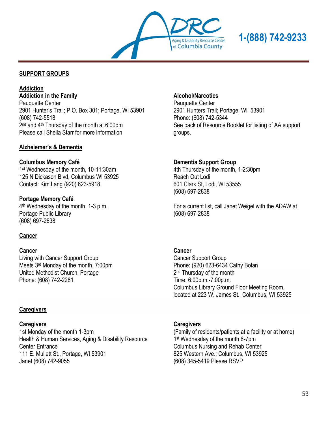

### **SUPPORT GROUPS**

**Addiction Addiction in the Family** Pauquette Center 2901 Hunter's Trail; P.O. Box 301; Portage, WI 53901 (608) 742-5518 2<sup>nd</sup> and 4<sup>th</sup> Thursday of the month at 6:00pm Please call Sheila Starr for more information

### **Alzheiemer's & Dementia**

**Columbus Memory Café**

1 st Wednesday of the month, 10-11:30am 125 N Dickason Blvd, Columbus WI 53925 Contact: Kim Lang (920) 623-5918

### **Portage Memory Café**

4 th Wednesday of the month, 1-3 p.m. Portage Public Library (608) 697-2838

### **Cancer**

### **Cancer**

Living with Cancer Support Group Meets 3rd Monday of the month, 7:00pm United Methodist Church, Portage Phone: (608) 742-2281

### **Caregivers**

#### **Caregivers**

1st Monday of the month 1-3pm Health & Human Services, Aging & Disability Resource Center Entrance 111 E. Mullett St., Portage, WI 53901 Janet (608) 742-9055

### **Alcohol/Narcotics**

Pauquette Center 2901 Hunters Trail; Portage, WI 53901 Phone: (608) 742-5344 See back of Resource Booklet for listing of AA support groups.

### **Dementia Support Group**

4th Thursday of the month, 1-2:30pm Reach Out Lodi 601 Clark St, Lodi, WI 53555 (608) 697-2838

For a current list, call Janet Weigel with the ADAW at (608) 697-2838

### **Cancer**

Cancer Support Group Phone: (920) 623-6434 Cathy Bolan 2<sup>nd</sup> Thursday of the month Time: 6:00p.m.-7:00p.m. Columbus Library Ground Floor Meeting Room, located at 223 W. James St., Columbus, WI 53925

#### **Caregivers**

(Family of residents/patients at a facility or at home) 1 st Wednesday of the month 6-7pm Columbus Nursing and Rehab Center 825 Western Ave.; Columbus, WI 53925 (608) 345-5419 Please RSVP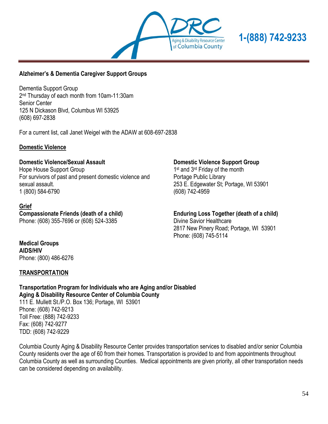

### **Alzheimer's & Dementia Caregiver Support Groups**

Dementia Support Group 2 nd Thursday of each month from 10am-11:30am Senior Center 125 N Dickason Blvd, Columbus WI 53925 (608) 697-2838

For a current list, call Janet Weigel with the ADAW at 608-697-2838

### **Domestic Violence**

### **Domestic Violence/Sexual Assault**

Hope House Support Group For survivors of past and present domestic violence and sexual assault. 1 (800) 584-6790

### **Grief**

**Compassionate Friends (death of a child)** Phone: (608) 355-7696 or (608) 524-3385

**Domestic Violence Support Group**

1<sup>st</sup> and 3<sup>rd</sup> Friday of the month Portage Public Library 253 E. Edgewater St; Portage, WI 53901 (608) 742-4959

**Enduring Loss Together (death of a child)** Divine Savior Healthcare 2817 New Pinery Road; Portage, WI 53901 Phone: (608) 745-5114

**Medical Groups AIDS/HIV** Phone: (800) 486-6276

### <span id="page-54-0"></span>**TRANSPORTATION**

**Transportation Program for Individuals who are Aging and/or Disabled Aging & Disability Resource Center of Columbia County** 111 E. Mullett St./P.O. Box 136; Portage, WI 53901 Phone: (608) 742-9213 Toll Free: (888) 742-9233 Fax: (608) 742-9277 TDD: (608) 742-9229

Columbia County Aging & Disability Resource Center provides transportation services to disabled and/or senior Columbia County residents over the age of 60 from their homes. Transportation is provided to and from appointments throughout Columbia County as well as surrounding Counties. Medical appointments are given priority, all other transportation needs can be considered depending on availability.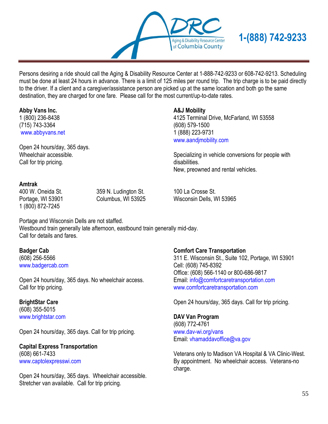

Persons desiring a ride should call the Aging & Disability Resource Center at 1-888-742-9233 or 608-742-9213. Scheduling must be done at least 24 hours in advance. There is a limit of 125 miles per round trip. The trip charge is to be paid directly to the driver. If a client and a caregiver/assistance person are picked up at the same location and both go the same destination, they are charged for one fare. Please call for the most current/up-to-date rates.

**A&J Mobility**

(608) 579-1500 1 (888) 223-9731 [www.aandjmobility.com](http://www.aandjmobility.com/)

disabilities.

### **Abby Vans Inc.**

1 (800) 236-8438 (715) 743-3364 [www.abbyvans.net](http://www.abbyvans.net/)

Open 24 hours/day, 365 days. Wheelchair accessible. Call for trip pricing.

#### **Amtrak**

1 (800) 872-7245

400 W. Oneida St. 359 N. Ludington St. 100 La Crosse St.

Portage, WI 53901 Columbus, WI 53925 Wisconsin Dells, WI 53965

New, preowned and rental vehicles.

4125 Terminal Drive, McFarland, WI 53558

Specializing in vehicle conversions for people with

Portage and Wisconsin Dells are not staffed. Westbound train generally late afternoon, eastbound train generally mid-day. Call for details and fares.

**Badger Cab** (608) 256-5566 [www.badgercab.com](http://www.badgercab.com/)

Open 24 hours/day, 365 days. No wheelchair access. Call for trip pricing.

### **BrightStar Care** (608) 355-5015 [www.brightstar.com](http://www.brightstar.com/)

Open 24 hours/day, 365 days. Call for trip pricing.

#### **Capital Express Transportation** (608) 661-7433 [www.captolexpresswi.com](http://www.captolexpresswi.com/)

Open 24 hours/day, 365 days. Wheelchair accessible. Stretcher van available. Call for trip pricing.

### **Comfort Care Transportation**

311 E. Wisconsin St., Suite 102, Portage, WI 53901 Cell: (608) 745-8392 Office: (608) 566-1140 or 800-686-9817 Email: [info@comfortcaretransportation.com](mailto:info@comfortcaretransportation.com) [www.comfortcaretransportation.com](http://www.comfortcaretransportation.com/)

Open 24 hours/day, 365 days. Call for trip pricing.

### **DAV Van Program**

(608) 772-4761 [www.dav-wi.org/vans](http://www.dav-wi.org/vans) Email: [vhamaddavoffice@va.gov](mailto:vhamaddavoffice@va.gov)

Veterans only to Madison VA Hospital & VA Clinic-West. By appointment. No wheelchair access. Veterans-no charge.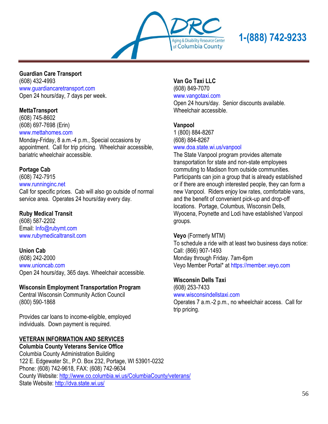

**Guardian Care Transport** (608) 432-4993 [www.guardiancaretransport.com](http://www.guardiancaretransport.com/) Open 24 hours/day, 7 days per week.

### **MettaTransport**

(608) 745-8602 (608) 697-7698 (Erin)

### [www.mettahomes.com](http://www.mettahomes.com/)

Monday-Friday, 8 a.m.-4 p.m., Special occasions by appointment. Call for trip pricing. Wheelchair accessible, bariatric wheelchair accessible.

### **Portage Cab**

(608) 742-7915 [www.runninginc.net](http://www.runninginc.net/) Call for specific prices. Cab will also go outside of normal service area. Operates 24 hours/day every day.

### **Ruby Medical Transit**

(608) 587-2202 Email: [Info@rubymt.com](mailto:Info@rubymt.com) [www.rubymedicaltransit.com](http://www.rubymedicaltransit.com/)

### **Union Cab**

(608) 242-2000 [www.unioncab.com](http://www.unioncab.com/) Open 24 hours/day, 365 days. Wheelchair accessible.

### **Wisconsin Employment Transportation Program**

Central Wisconsin Community Action Council (800) 590-1868

Provides car loans to income-eligible, employed individuals. Down payment is required.

### <span id="page-56-0"></span>**VETERAN INFORMATION AND SERVICES**

### **Columbia County Veterans Service Office**

Columbia County Administration Building 122 E. Edgewater St., P.O. Box 232, Portage, WI 53901-0232 Phone: (608) 742-9618, FAX: (608) 742-9634 County Website:<http://www.co.columbia.wi.us/ColumbiaCounty/veterans/> State Website[: http://dva.state.wi.us/](http://dva.state.wi.us/)

### **Van Go Taxi LLC**

(608) 849-7070 [www.vangotaxi.com](http://www.vangotaxi.com/)

Open 24 hours/day. Senior discounts available. Wheelchair accessible.

### **Vanpool**

1 (800) 884-8267 (608) 884-8267 [www.doa.state.wi.us/vanpool](http://www.doa.state.wi.us/vanpool)

The State Vanpool program provides alternate transportation for state and non-state employees commuting to Madison from outside communities. Participants can join a group that is already established or if there are enough interested people, they can form a new Vanpool. Riders enjoy low rates, comfortable vans, and the benefit of convenient pick-up and drop-off locations. Portage, Columbus, Wisconsin Dells, Wyocena, Poynette and Lodi have established Vanpool groups.

### **Veyo** (Formerly MTM)

To schedule a ride with at least two business days notice: Call: (866) 907-1493 Monday through Friday. 7am-6pm Veyo Member Portal\* at [https://member.veyo.com](https://member.veyo.com/)

### **Wisconsin Dells Taxi**

(608) 253-7433 [www.wisconsindellstaxi.com](http://www.wisconsindellstaxi.com/) Operates 7 a.m.-2 p.m., no wheelchair access. Call for trip pricing.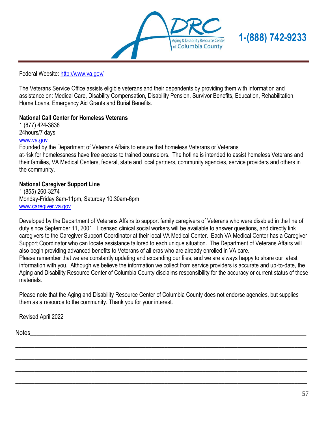

Federal Website:<http://www.va.gov/>

The Veterans Service Office assists eligible veterans and their dependents by providing them with information and assistance on: Medical Care, Disability Compensation, Disability Pension, Survivor Benefits, Education, Rehabilitation, Home Loans, Emergency Aid Grants and Burial Benefits.

### **National Call Center for Homeless Veterans**

1 (877) 424-3838 24hours/7 days [www.va.gov](http://www.va.gov/) Founded by the Department of Veterans Affairs to ensure that homeless Veterans or Veterans at-risk for homelessness have free access to trained counselors. The hotline is intended to assist homeless Veterans and their families, VA Medical Centers, federal, state and local partners, community agencies, service providers and others in the community.

### **National Caregiver Support Line**

1 (855) 260-3274 Monday-Friday 8am-11pm, Saturday 10:30am-6pm [www.caregiver.va.gov](http://www.caregiver.va.gov/)

Developed by the Department of Veterans Affairs to support family caregivers of Veterans who were disabled in the line of duty since September 11, 2001. Licensed clinical social workers will be available to answer questions, and directly link caregivers to the Caregiver Support Coordinator at their local VA Medical Center. Each VA Medical Center has a Caregiver Support Coordinator who can locate assistance tailored to each unique situation. The Department of Veterans Affairs will also begin providing advanced benefits to Veterans of all eras who are already enrolled in VA care. Please remember that we are constantly updating and expanding our files, and we are always happy to share our latest information with you. Although we believe the information we collect from service providers is accurate and up-to-date, the Aging and Disability Resource Center of Columbia County disclaims responsibility for the accuracy or current status of these materials.

Please note that the Aging and Disability Resource Center of Columbia County does not endorse agencies, but supplies them as a resource to the community. Thank you for your interest.

\_\_\_\_\_\_\_\_\_\_\_\_\_\_\_\_\_\_\_\_\_\_\_\_\_\_\_\_\_\_\_\_\_\_\_\_\_\_\_\_\_\_\_\_\_\_\_\_\_\_\_\_\_\_\_\_\_\_\_\_\_\_\_\_\_\_\_\_\_\_\_\_\_\_\_\_\_\_\_\_\_\_\_\_\_\_\_\_\_\_\_\_

\_\_\_\_\_\_\_\_\_\_\_\_\_\_\_\_\_\_\_\_\_\_\_\_\_\_\_\_\_\_\_\_\_\_\_\_\_\_\_\_\_\_\_\_\_\_\_\_\_\_\_\_\_\_\_\_\_\_\_\_\_\_\_\_\_\_\_\_\_\_\_\_\_\_\_\_\_\_\_\_\_\_\_\_\_\_\_\_\_\_\_\_

\_\_\_\_\_\_\_\_\_\_\_\_\_\_\_\_\_\_\_\_\_\_\_\_\_\_\_\_\_\_\_\_\_\_\_\_\_\_\_\_\_\_\_\_\_\_\_\_\_\_\_\_\_\_\_\_\_\_\_\_\_\_\_\_\_\_\_\_\_\_\_\_\_\_\_\_\_\_\_\_\_\_\_\_\_\_\_\_\_\_\_\_

\_\_\_\_\_\_\_\_\_\_\_\_\_\_\_\_\_\_\_\_\_\_\_\_\_\_\_\_\_\_\_\_\_\_\_\_\_\_\_\_\_\_\_\_\_\_\_\_\_\_\_\_\_\_\_\_\_\_\_\_\_\_\_\_\_\_\_\_\_\_\_\_\_\_\_\_\_\_\_\_\_\_\_\_\_\_\_\_\_\_\_\_

Revised April 2022

Notes\_\_\_\_\_\_\_\_\_\_\_\_\_\_\_\_\_\_\_\_\_\_\_\_\_\_\_\_\_\_\_\_\_\_\_\_\_\_\_\_\_\_\_\_\_\_\_\_\_\_\_\_\_\_\_\_\_\_\_\_\_\_\_\_\_\_\_\_\_\_\_\_\_\_\_\_\_\_\_\_\_\_\_\_\_\_\_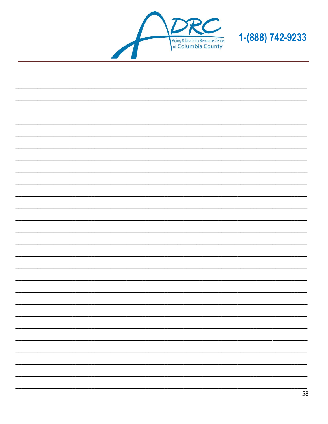

÷